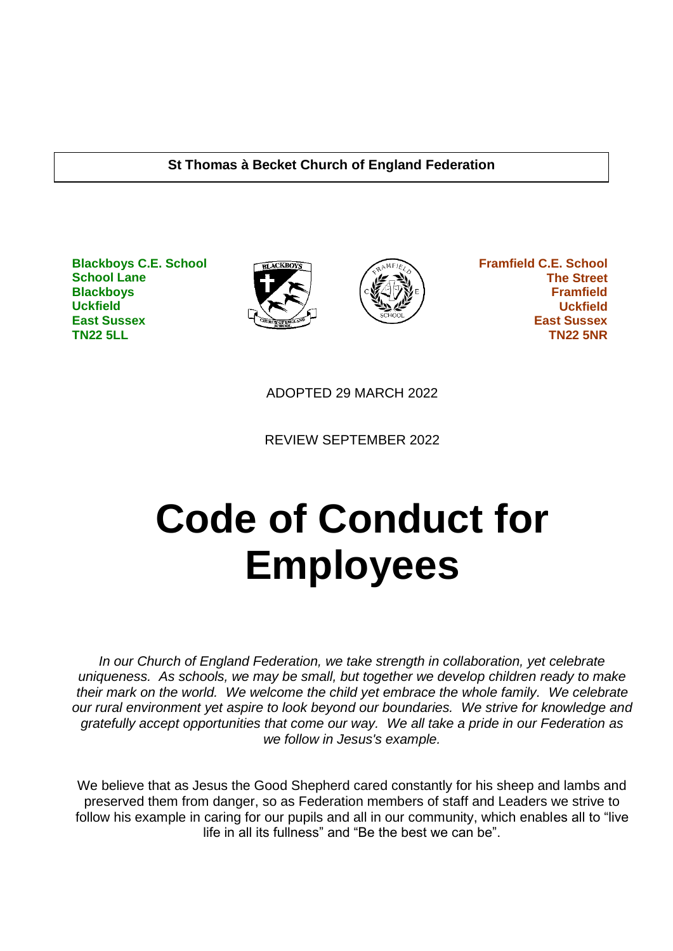#### **St Thomas à Becket Church of England Federation**

**Blackboys C.E. School School Lane Blackboys Uckfield East Sussex TN22 5LL**





 **Framfield C.E. School The Street Framfield Uckfield East Sussex TN22 5NR**

ADOPTED 29 MARCH 2022

REVIEW SEPTEMBER 2022

# **Code of Conduct for Employees**

*In our Church of England Federation, we take strength in collaboration, yet celebrate uniqueness. As schools, we may be small, but together we develop children ready to make their mark on the world. We welcome the child yet embrace the whole family. We celebrate our rural environment yet aspire to look beyond our boundaries. We strive for knowledge and gratefully accept opportunities that come our way. We all take a pride in our Federation as we follow in Jesus's example.*

We believe that as Jesus the Good Shepherd cared constantly for his sheep and lambs and preserved them from danger, so as Federation members of staff and Leaders we strive to follow his example in caring for our pupils and all in our community, which enables all to "live life in all its fullness" and "Be the best we can be".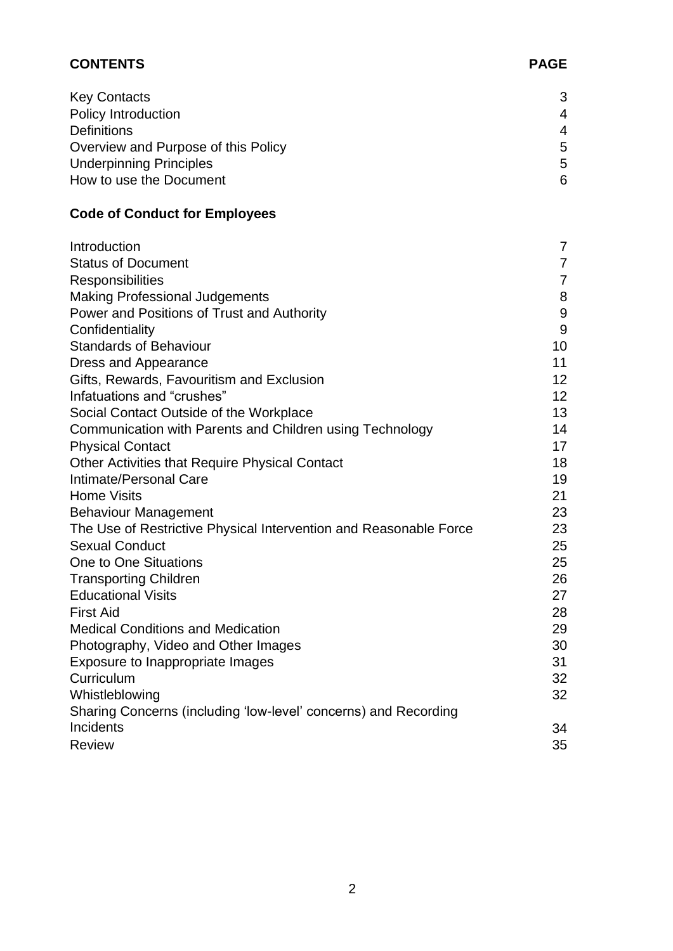| <b>CONTENTS</b> | <b>PAGE</b> |
|-----------------|-------------|
|                 |             |

| <b>Key Contacts</b>                 | 3 |
|-------------------------------------|---|
| Policy Introduction                 | 4 |
| <b>Definitions</b>                  | 4 |
| Overview and Purpose of this Policy | 5 |
| <b>Underpinning Principles</b>      | 5 |
| How to use the Document             | 6 |

# **Code of Conduct for Employees**

| Introduction                                                      | 7              |
|-------------------------------------------------------------------|----------------|
| <b>Status of Document</b>                                         | 7              |
| Responsibilities                                                  | $\overline{7}$ |
| <b>Making Professional Judgements</b>                             | 8              |
| Power and Positions of Trust and Authority                        | 9              |
| Confidentiality                                                   | 9              |
| <b>Standards of Behaviour</b>                                     | 10             |
| Dress and Appearance                                              | 11             |
| Gifts, Rewards, Favouritism and Exclusion                         | 12             |
| Infatuations and "crushes"                                        | 12             |
| Social Contact Outside of the Workplace                           | 13             |
| Communication with Parents and Children using Technology          | 14             |
| <b>Physical Contact</b>                                           | 17             |
| Other Activities that Require Physical Contact                    | 18             |
| Intimate/Personal Care                                            | 19             |
| <b>Home Visits</b>                                                | 21             |
| <b>Behaviour Management</b>                                       | 23             |
| The Use of Restrictive Physical Intervention and Reasonable Force | 23             |
| <b>Sexual Conduct</b>                                             | 25             |
| One to One Situations                                             | 25             |
| <b>Transporting Children</b>                                      | 26             |
| <b>Educational Visits</b>                                         | 27             |
| <b>First Aid</b>                                                  | 28             |
| <b>Medical Conditions and Medication</b>                          | 29             |
| Photography, Video and Other Images                               | 30             |
| Exposure to Inappropriate Images                                  | 31             |
| Curriculum                                                        | 32             |
| Whistleblowing                                                    | 32             |
| Sharing Concerns (including 'low-level' concerns) and Recording   |                |
| Incidents                                                         | 34             |
| <b>Review</b>                                                     | 35             |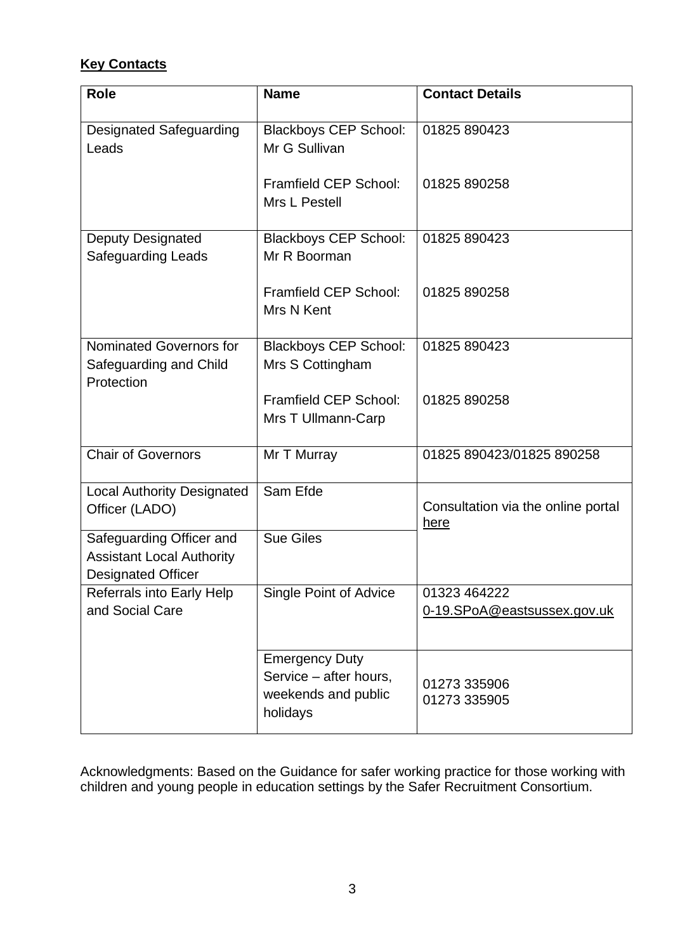# **Key Contacts**

| <b>Role</b>                                                                               | <b>Name</b>                                                                        | <b>Contact Details</b>                            |
|-------------------------------------------------------------------------------------------|------------------------------------------------------------------------------------|---------------------------------------------------|
| <b>Designated Safeguarding</b><br>Leads                                                   | <b>Blackboys CEP School:</b><br>Mr G Sullivan                                      | 01825 890423                                      |
|                                                                                           | Framfield CEP School:<br>Mrs L Pestell                                             | 01825 890258                                      |
| Deputy Designated<br>Safeguarding Leads                                                   | <b>Blackboys CEP School:</b><br>Mr R Boorman                                       | 01825 890423                                      |
|                                                                                           | Framfield CEP School:<br>Mrs N Kent                                                | 01825 890258                                      |
| Nominated Governors for<br>Safeguarding and Child<br>Protection                           | <b>Blackboys CEP School:</b><br>Mrs S Cottingham                                   | 01825 890423                                      |
|                                                                                           | Framfield CEP School:<br>Mrs T Ullmann-Carp                                        | 01825 890258                                      |
| <b>Chair of Governors</b>                                                                 | Mr T Murray                                                                        | 01825 890423/01825 890258                         |
| <b>Local Authority Designated</b><br>Officer (LADO)                                       | Sam Efde                                                                           | Consultation via the online portal<br><u>here</u> |
| Safeguarding Officer and<br><b>Assistant Local Authority</b><br><b>Designated Officer</b> | <b>Sue Giles</b>                                                                   |                                                   |
| Referrals into Early Help<br>and Social Care                                              | Single Point of Advice                                                             | 01323 464222<br>0-19.SPoA@eastsussex.gov.uk       |
|                                                                                           | <b>Emergency Duty</b><br>Service - after hours,<br>weekends and public<br>holidays | 01273 335906<br>01273 335905                      |

Acknowledgments: Based on the Guidance for safer working practice for those working with children and young people in education settings by the Safer Recruitment Consortium.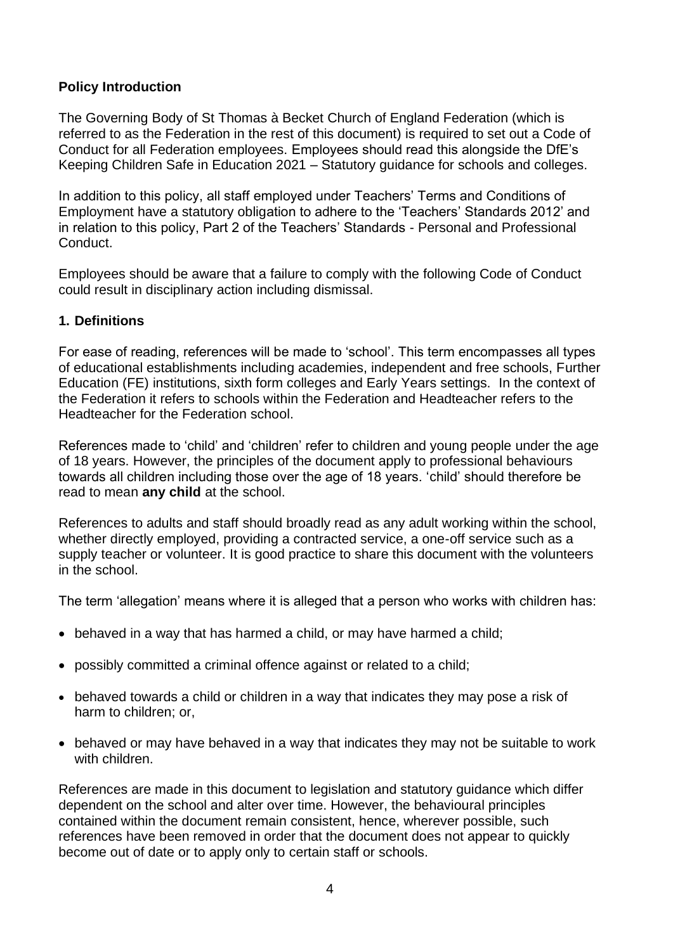# **Policy Introduction**

The Governing Body of St Thomas à Becket Church of England Federation (which is referred to as the Federation in the rest of this document) is required to set out a Code of Conduct for all Federation employees. Employees should read this alongside the DfE's Keeping Children Safe in Education 2021 – Statutory guidance for schools and colleges.

In addition to this policy, all staff employed under Teachers' Terms and Conditions of Employment have a statutory obligation to adhere to the 'Teachers' Standards 2012' and in relation to this policy, Part 2 of the Teachers' Standards - Personal and Professional **Conduct** 

Employees should be aware that a failure to comply with the following Code of Conduct could result in disciplinary action including dismissal.

#### **1. Definitions**

For ease of reading, references will be made to 'school'. This term encompasses all types of educational establishments including academies, independent and free schools, Further Education (FE) institutions, sixth form colleges and Early Years settings. In the context of the Federation it refers to schools within the Federation and Headteacher refers to the Headteacher for the Federation school.

References made to 'child' and 'children' refer to children and young people under the age of 18 years. However, the principles of the document apply to professional behaviours towards all children including those over the age of 18 years. 'child' should therefore be read to mean **any child** at the school.

References to adults and staff should broadly read as any adult working within the school, whether directly employed, providing a contracted service, a one-off service such as a supply teacher or volunteer. It is good practice to share this document with the volunteers in the school.

The term 'allegation' means where it is alleged that a person who works with children has:

- behaved in a way that has harmed a child, or may have harmed a child;
- possibly committed a criminal offence against or related to a child;
- behaved towards a child or children in a way that indicates they may pose a risk of harm to children; or,
- behaved or may have behaved in a way that indicates they may not be suitable to work with children.

References are made in this document to legislation and statutory guidance which differ dependent on the school and alter over time. However, the behavioural principles contained within the document remain consistent, hence, wherever possible, such references have been removed in order that the document does not appear to quickly become out of date or to apply only to certain staff or schools.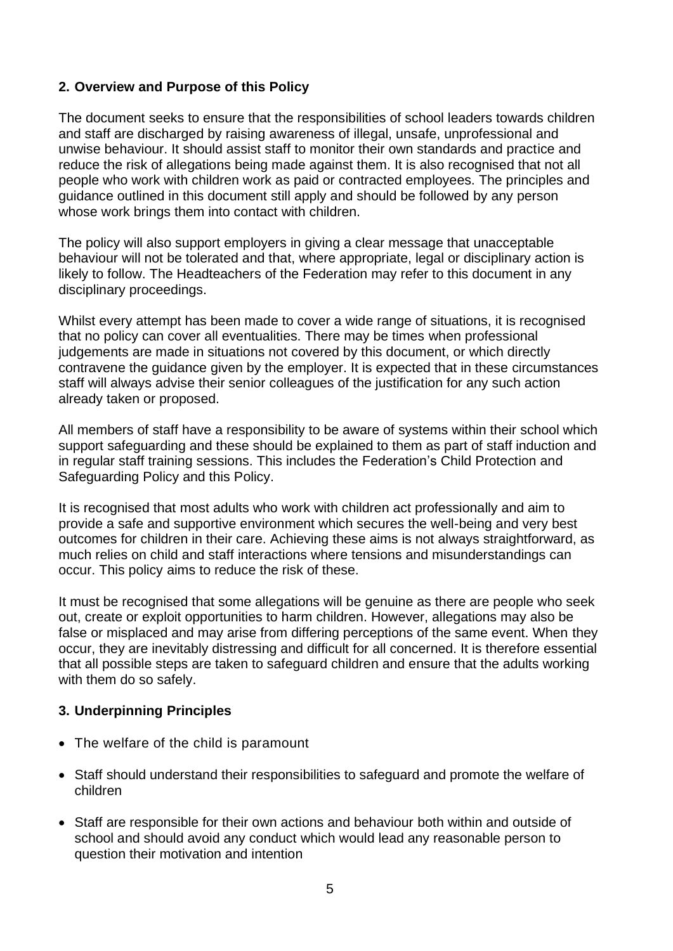# **2. Overview and Purpose of this Policy**

The document seeks to ensure that the responsibilities of school leaders towards children and staff are discharged by raising awareness of illegal, unsafe, unprofessional and unwise behaviour. It should assist staff to monitor their own standards and practice and reduce the risk of allegations being made against them. It is also recognised that not all people who work with children work as paid or contracted employees. The principles and guidance outlined in this document still apply and should be followed by any person whose work brings them into contact with children.

The policy will also support employers in giving a clear message that unacceptable behaviour will not be tolerated and that, where appropriate, legal or disciplinary action is likely to follow. The Headteachers of the Federation may refer to this document in any disciplinary proceedings.

Whilst every attempt has been made to cover a wide range of situations, it is recognised that no policy can cover all eventualities. There may be times when professional judgements are made in situations not covered by this document, or which directly contravene the guidance given by the employer. It is expected that in these circumstances staff will always advise their senior colleagues of the justification for any such action already taken or proposed.

All members of staff have a responsibility to be aware of systems within their school which support safeguarding and these should be explained to them as part of staff induction and in regular staff training sessions. This includes the Federation's Child Protection and Safeguarding Policy and this Policy.

It is recognised that most adults who work with children act professionally and aim to provide a safe and supportive environment which secures the well-being and very best outcomes for children in their care. Achieving these aims is not always straightforward, as much relies on child and staff interactions where tensions and misunderstandings can occur. This policy aims to reduce the risk of these.

It must be recognised that some allegations will be genuine as there are people who seek out, create or exploit opportunities to harm children. However, allegations may also be false or misplaced and may arise from differing perceptions of the same event. When they occur, they are inevitably distressing and difficult for all concerned. It is therefore essential that all possible steps are taken to safeguard children and ensure that the adults working with them do so safely.

#### **3. Underpinning Principles**

- The welfare of the child is paramount
- Staff should understand their responsibilities to safeguard and promote the welfare of children
- Staff are responsible for their own actions and behaviour both within and outside of school and should avoid any conduct which would lead any reasonable person to question their motivation and intention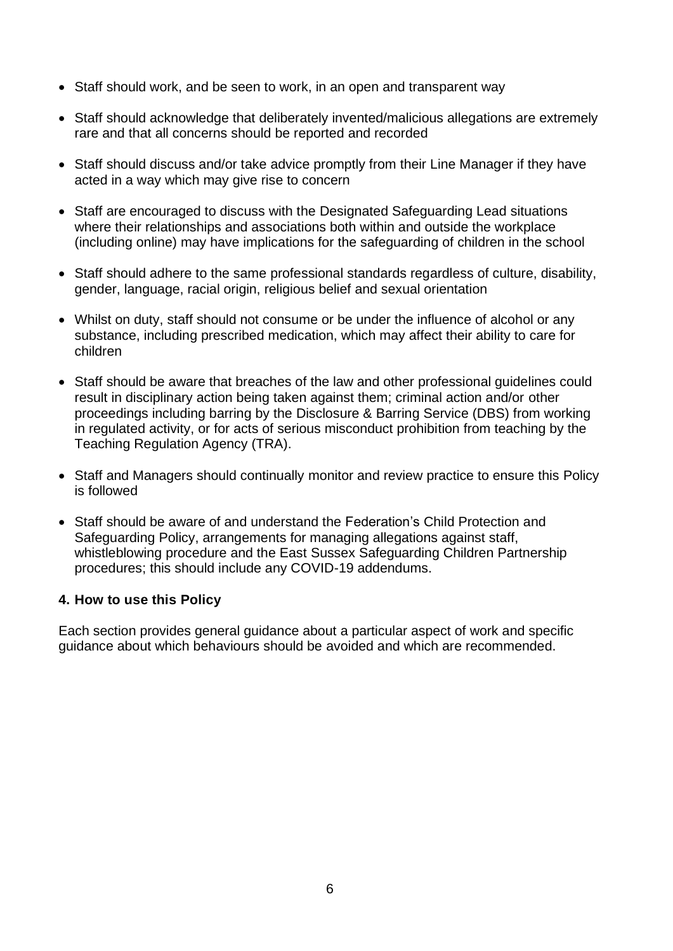- Staff should work, and be seen to work, in an open and transparent way
- Staff should acknowledge that deliberately invented/malicious allegations are extremely rare and that all concerns should be reported and recorded
- Staff should discuss and/or take advice promptly from their Line Manager if they have acted in a way which may give rise to concern
- Staff are encouraged to discuss with the Designated Safeguarding Lead situations where their relationships and associations both within and outside the workplace (including online) may have implications for the safeguarding of children in the school
- Staff should adhere to the same professional standards regardless of culture, disability, gender, language, racial origin, religious belief and sexual orientation
- Whilst on duty, staff should not consume or be under the influence of alcohol or any substance, including prescribed medication, which may affect their ability to care for children
- Staff should be aware that breaches of the law and other professional guidelines could result in disciplinary action being taken against them; criminal action and/or other proceedings including barring by the Disclosure & Barring Service (DBS) from working in regulated activity, or for acts of serious misconduct prohibition from teaching by the Teaching Regulation Agency (TRA).
- Staff and Managers should continually monitor and review practice to ensure this Policy is followed
- Staff should be aware of and understand the Federation's Child Protection and Safeguarding Policy, arrangements for managing allegations against staff, whistleblowing procedure and the East Sussex Safeguarding Children Partnership procedures; this should include any COVID-19 addendums.

#### **4. How to use this Policy**

Each section provides general guidance about a particular aspect of work and specific guidance about which behaviours should be avoided and which are recommended.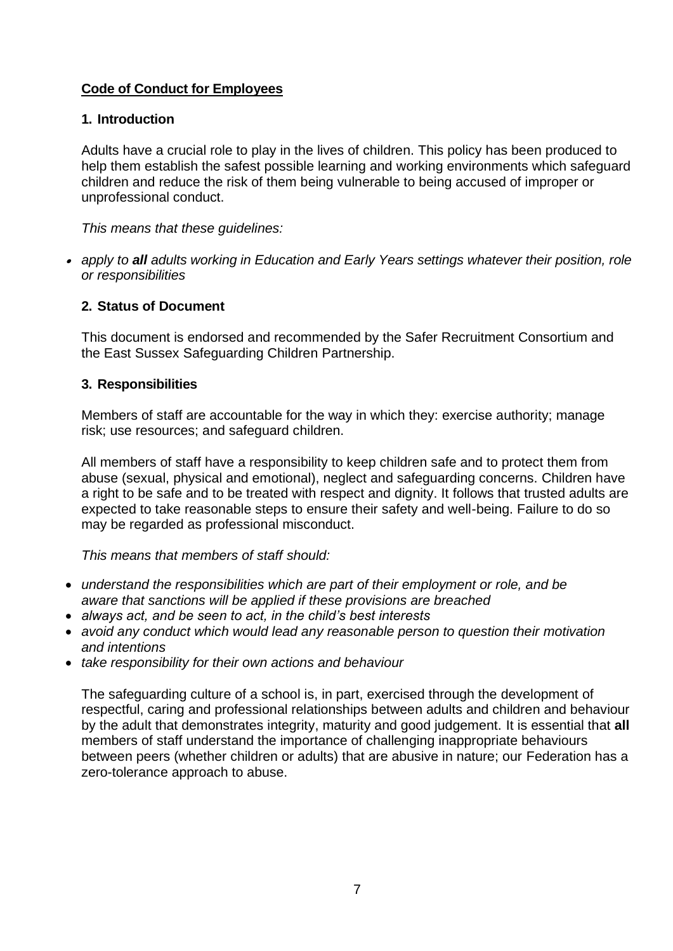# **Code of Conduct for Employees**

#### **1. Introduction**

Adults have a crucial role to play in the lives of children. This policy has been produced to help them establish the safest possible learning and working environments which safeguard children and reduce the risk of them being vulnerable to being accused of improper or unprofessional conduct.

*This means that these guidelines:*

• *apply to all adults working in Education and Early Years settings whatever their position, role or responsibilities*

#### **2. Status of Document**

This document is endorsed and recommended by the Safer Recruitment Consortium and the East Sussex Safeguarding Children Partnership.

#### **3. Responsibilities**

Members of staff are accountable for the way in which they: exercise authority; manage risk; use resources; and safeguard children.

All members of staff have a responsibility to keep children safe and to protect them from abuse (sexual, physical and emotional), neglect and safeguarding concerns. Children have a right to be safe and to be treated with respect and dignity. It follows that trusted adults are expected to take reasonable steps to ensure their safety and well-being. Failure to do so may be regarded as professional misconduct.

*This means that members of staff should:*

- *understand the responsibilities which are part of their employment or role, and be aware that sanctions will be applied if these provisions are breached*
- *always act, and be seen to act, in the child's best interests*
- *avoid any conduct which would lead any reasonable person to question their motivation and intentions*
- *take responsibility for their own actions and behaviour*

The safeguarding culture of a school is, in part, exercised through the development of respectful, caring and professional relationships between adults and children and behaviour by the adult that demonstrates integrity, maturity and good judgement. It is essential that **all**  members of staff understand the importance of challenging inappropriate behaviours between peers (whether children or adults) that are abusive in nature; our Federation has a zero-tolerance approach to abuse.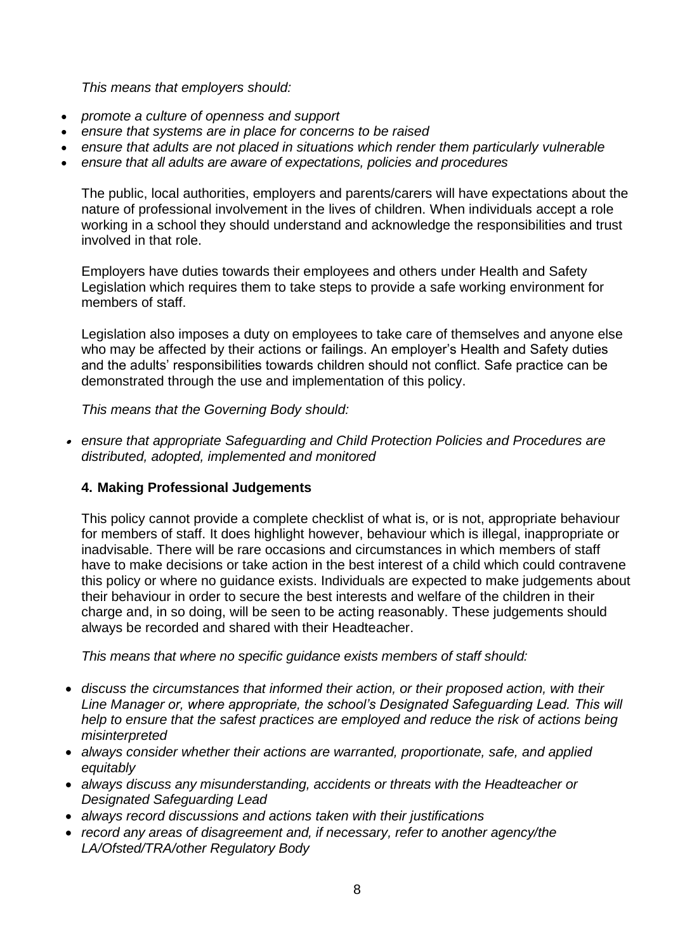*This means that employers should:*

- *promote a culture of openness and support*
- *ensure that systems are in place for concerns to be raised*
- *ensure that adults are not placed in situations which render them particularly vulnerable*
- *ensure that all adults are aware of expectations, policies and procedures*

The public, local authorities, employers and parents/carers will have expectations about the nature of professional involvement in the lives of children. When individuals accept a role working in a school they should understand and acknowledge the responsibilities and trust involved in that role.

Employers have duties towards their employees and others under Health and Safety Legislation which requires them to take steps to provide a safe working environment for members of staff.

Legislation also imposes a duty on employees to take care of themselves and anyone else who may be affected by their actions or failings. An employer's Health and Safety duties and the adults' responsibilities towards children should not conflict. Safe practice can be demonstrated through the use and implementation of this policy.

*This means that the Governing Body should:*

• *ensure that appropriate Safeguarding and Child Protection Policies and Procedures are distributed, adopted, implemented and monitored*

#### **4. Making Professional Judgements**

This policy cannot provide a complete checklist of what is, or is not, appropriate behaviour for members of staff. It does highlight however, behaviour which is illegal, inappropriate or inadvisable. There will be rare occasions and circumstances in which members of staff have to make decisions or take action in the best interest of a child which could contravene this policy or where no guidance exists. Individuals are expected to make judgements about their behaviour in order to secure the best interests and welfare of the children in their charge and, in so doing, will be seen to be acting reasonably. These judgements should always be recorded and shared with their Headteacher.

*This means that where no specific guidance exists members of staff should:*

- *discuss the circumstances that informed their action, or their proposed action, with their Line Manager or, where appropriate, the school's Designated Safeguarding Lead. This will help to ensure that the safest practices are employed and reduce the risk of actions being misinterpreted*
- *always consider whether their actions are warranted, proportionate, safe, and applied equitably*
- *always discuss any misunderstanding, accidents or threats with the Headteacher or Designated Safeguarding Lead*
- *always record discussions and actions taken with their justifications*
- *record any areas of disagreement and, if necessary, refer to another agency/the LA/Ofsted/TRA/other Regulatory Body*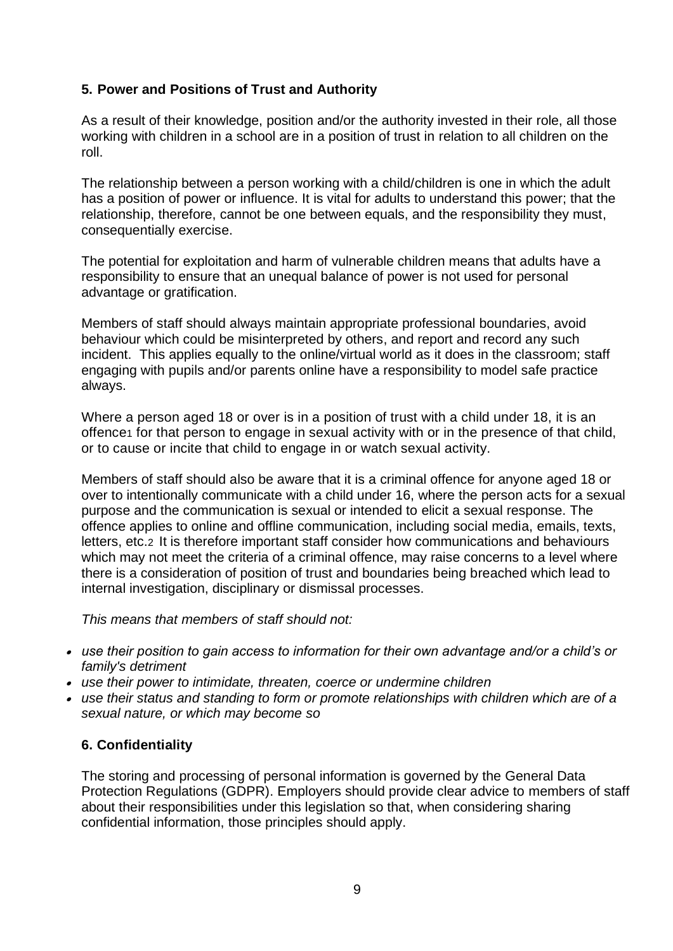# **5. Power and Positions of Trust and Authority**

As a result of their knowledge, position and/or the authority invested in their role, all those working with children in a school are in a position of trust in relation to all children on the roll.

The relationship between a person working with a child/children is one in which the adult has a position of power or influence. It is vital for adults to understand this power; that the relationship, therefore, cannot be one between equals, and the responsibility they must, consequentially exercise.

The potential for exploitation and harm of vulnerable children means that adults have a responsibility to ensure that an unequal balance of power is not used for personal advantage or gratification.

Members of staff should always maintain appropriate professional boundaries, avoid behaviour which could be misinterpreted by others, and report and record any such incident. This applies equally to the online/virtual world as it does in the classroom; staff engaging with pupils and/or parents online have a responsibility to model safe practice always.

Where a person aged 18 or over is in a position of trust with a child under 18, it is an offence<sub>1</sub> for that person to engage in sexual activity with or in the presence of that child, or to cause or incite that child to engage in or watch sexual activity.

Members of staff should also be aware that it is a criminal offence for anyone aged 18 or over to intentionally communicate with a child under 16, where the person acts for a sexual purpose and the communication is sexual or intended to elicit a sexual response. The offence applies to online and offline communication, including social media, emails, texts, letters, etc.2 It is therefore important staff consider how communications and behaviours which may not meet the criteria of a criminal offence, may raise concerns to a level where there is a consideration of position of trust and boundaries being breached which lead to internal investigation, disciplinary or dismissal processes.

*This means that members of staff should not:*

- *use their position to gain access to information for their own advantage and/or a child's or family's detriment*
- *use their power to intimidate, threaten, coerce or undermine children*
- *use their status and standing to form or promote relationships with children which are of a sexual nature, or which may become so*

# **6. Confidentiality**

The storing and processing of personal information is governed by the General Data Protection Regulations (GDPR). Employers should provide clear advice to members of staff about their responsibilities under this legislation so that, when considering sharing confidential information, those principles should apply.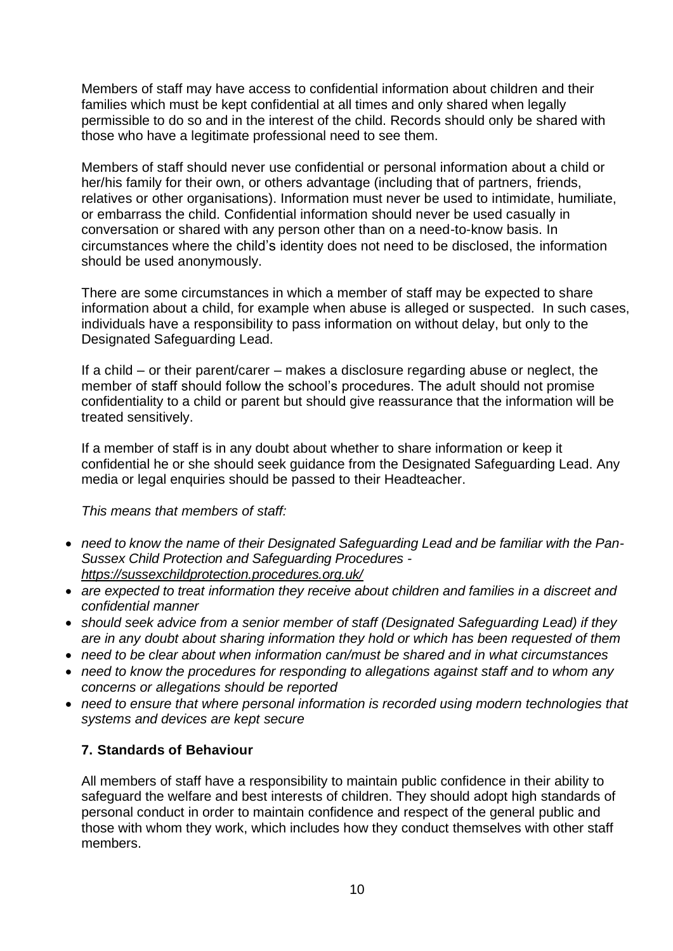Members of staff may have access to confidential information about children and their families which must be kept confidential at all times and only shared when legally permissible to do so and in the interest of the child. Records should only be shared with those who have a legitimate professional need to see them.

Members of staff should never use confidential or personal information about a child or her/his family for their own, or others advantage (including that of partners, friends, relatives or other organisations). Information must never be used to intimidate, humiliate, or embarrass the child. Confidential information should never be used casually in conversation or shared with any person other than on a need-to-know basis. In circumstances where the child's identity does not need to be disclosed, the information should be used anonymously.

There are some circumstances in which a member of staff may be expected to share information about a child, for example when abuse is alleged or suspected. In such cases, individuals have a responsibility to pass information on without delay, but only to the Designated Safeguarding Lead.

If a child – or their parent/carer – makes a disclosure regarding abuse or neglect, the member of staff should follow the school's procedures. The adult should not promise confidentiality to a child or parent but should give reassurance that the information will be treated sensitively.

If a member of staff is in any doubt about whether to share information or keep it confidential he or she should seek guidance from the Designated Safeguarding Lead. Any media or legal enquiries should be passed to their Headteacher.

*This means that members of staff:*

- *need to know the name of their Designated Safeguarding Lead and be familiar with the Pan-Sussex Child Protection and Safeguarding Procedures <https://sussexchildprotection.procedures.org.uk/>*
- *are expected to treat information they receive about children and families in a discreet and confidential manner*
- *should seek advice from a senior member of staff (Designated Safeguarding Lead) if they are in any doubt about sharing information they hold or which has been requested of them*
- *need to be clear about when information can/must be shared and in what circumstances*
- *need to know the procedures for responding to allegations against staff and to whom any concerns or allegations should be reported*
- *need to ensure that where personal information is recorded using modern technologies that systems and devices are kept secure*

# **7. Standards of Behaviour**

All members of staff have a responsibility to maintain public confidence in their ability to safeguard the welfare and best interests of children. They should adopt high standards of personal conduct in order to maintain confidence and respect of the general public and those with whom they work, which includes how they conduct themselves with other staff members.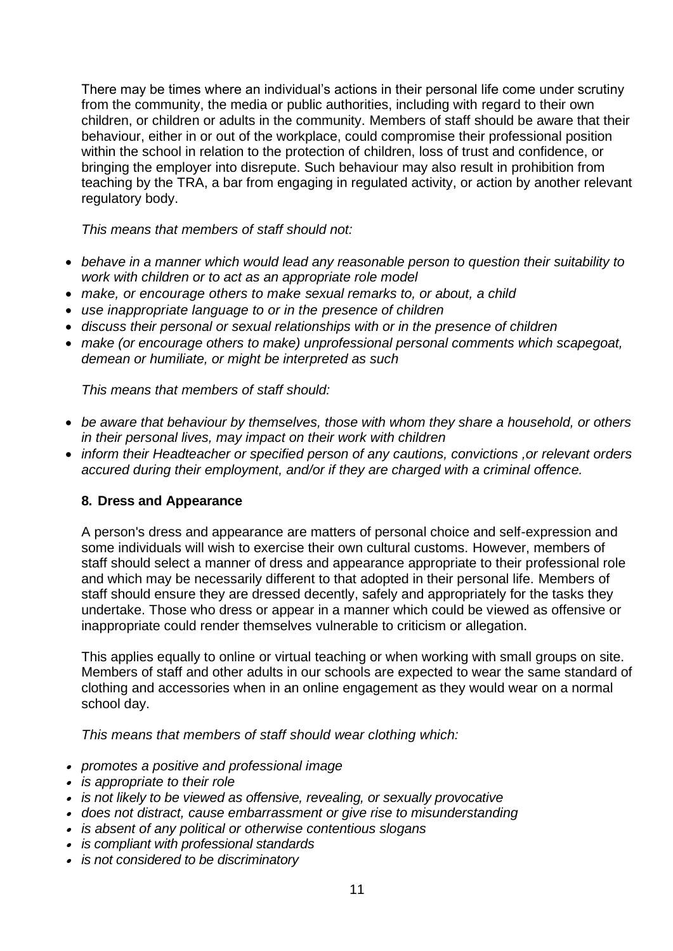There may be times where an individual's actions in their personal life come under scrutiny from the community, the media or public authorities, including with regard to their own children, or children or adults in the community. Members of staff should be aware that their behaviour, either in or out of the workplace, could compromise their professional position within the school in relation to the protection of children, loss of trust and confidence, or bringing the employer into disrepute. Such behaviour may also result in prohibition from teaching by the TRA, a bar from engaging in regulated activity, or action by another relevant regulatory body.

*This means that members of staff should not:*

- *behave in a manner which would lead any reasonable person to question their suitability to work with children or to act as an appropriate role model*
- *make, or encourage others to make sexual remarks to, or about, a child*
- *use inappropriate language to or in the presence of children*
- *discuss their personal or sexual relationships with or in the presence of children*
- *make (or encourage others to make) unprofessional personal comments which scapegoat, demean or humiliate, or might be interpreted as such*

*This means that members of staff should:*

- *be aware that behaviour by themselves, those with whom they share a household, or others in their personal lives, may impact on their work with children*
- *inform their Headteacher or specified person of any cautions, convictions ,or relevant orders accured during their employment, and/or if they are charged with a criminal offence.*

#### **8. Dress and Appearance**

A person's dress and appearance are matters of personal choice and self-expression and some individuals will wish to exercise their own cultural customs. However, members of staff should select a manner of dress and appearance appropriate to their professional role and which may be necessarily different to that adopted in their personal life. Members of staff should ensure they are dressed decently, safely and appropriately for the tasks they undertake. Those who dress or appear in a manner which could be viewed as offensive or inappropriate could render themselves vulnerable to criticism or allegation.

This applies equally to online or virtual teaching or when working with small groups on site. Members of staff and other adults in our schools are expected to wear the same standard of clothing and accessories when in an online engagement as they would wear on a normal school day.

*This means that members of staff should wear clothing which:* 

- *promotes a positive and professional image*
- *is appropriate to their role*
- *is not likely to be viewed as offensive, revealing, or sexually provocative*
- *does not distract, cause embarrassment or give rise to misunderstanding*
- *is absent of any political or otherwise contentious slogans*
- *is compliant with professional standards*
- *is not considered to be discriminatory*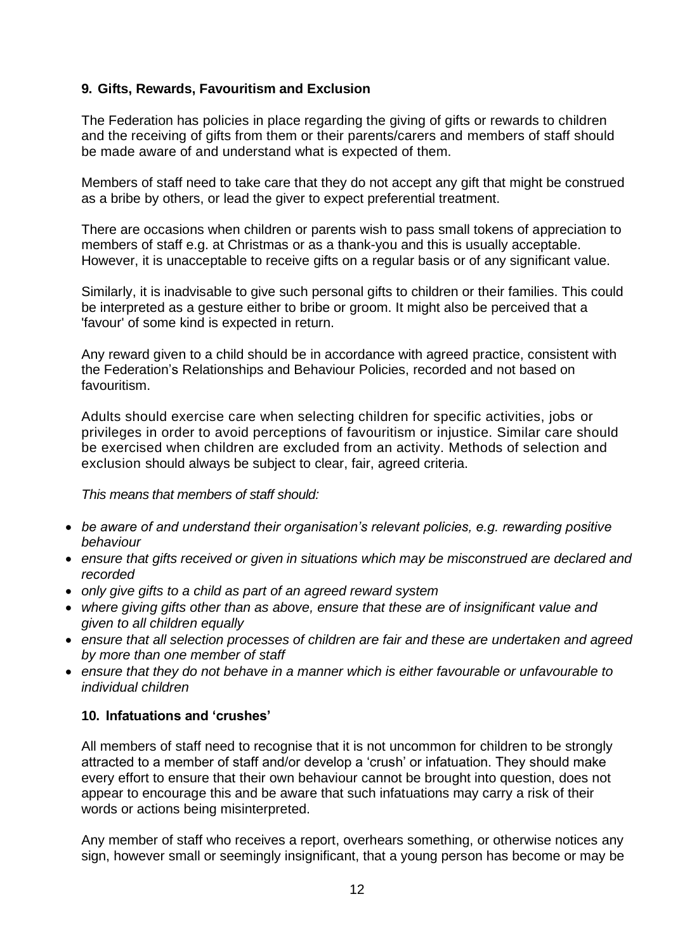# **9. Gifts, Rewards, Favouritism and Exclusion**

The Federation has policies in place regarding the giving of gifts or rewards to children and the receiving of gifts from them or their parents/carers and members of staff should be made aware of and understand what is expected of them.

Members of staff need to take care that they do not accept any gift that might be construed as a bribe by others, or lead the giver to expect preferential treatment.

There are occasions when children or parents wish to pass small tokens of appreciation to members of staff e.g. at Christmas or as a thank-you and this is usually acceptable. However, it is unacceptable to receive gifts on a regular basis or of any significant value.

Similarly, it is inadvisable to give such personal gifts to children or their families. This could be interpreted as a gesture either to bribe or groom. It might also be perceived that a 'favour' of some kind is expected in return.

Any reward given to a child should be in accordance with agreed practice, consistent with the Federation's Relationships and Behaviour Policies, recorded and not based on favouritism.

Adults should exercise care when selecting children for specific activities, jobs or privileges in order to avoid perceptions of favouritism or injustice. Similar care should be exercised when children are excluded from an activity. Methods of selection and exclusion should always be subject to clear, fair, agreed criteria.

*This means that members of staff should:*

- *be aware of and understand their organisation's relevant policies, e.g. rewarding positive behaviour*
- *ensure that gifts received or given in situations which may be misconstrued are declared and recorded*
- *only give gifts to a child as part of an agreed reward system*
- *where giving gifts other than as above, ensure that these are of insignificant value and given to all children equally*
- *ensure that all selection processes of children are fair and these are undertaken and agreed by more than one member of staff*
- *ensure that they do not behave in a manner which is either favourable or unfavourable to individual children*

#### **10. Infatuations and 'crushes'**

All members of staff need to recognise that it is not uncommon for children to be strongly attracted to a member of staff and/or develop a 'crush' or infatuation. They should make every effort to ensure that their own behaviour cannot be brought into question, does not appear to encourage this and be aware that such infatuations may carry a risk of their words or actions being misinterpreted.

Any member of staff who receives a report, overhears something, or otherwise notices any sign, however small or seemingly insignificant, that a young person has become or may be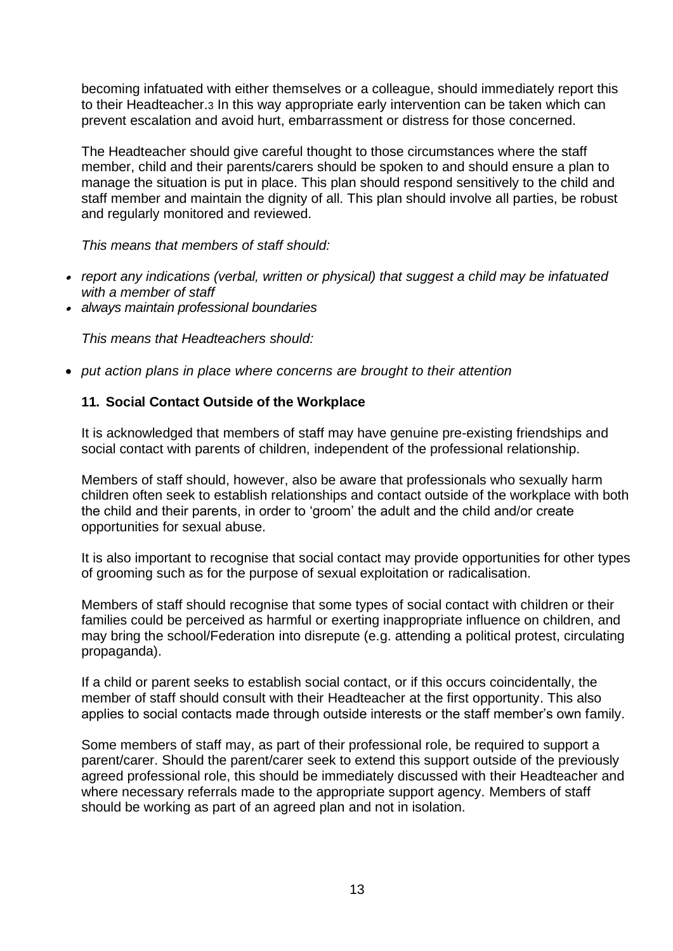becoming infatuated with either themselves or a colleague, should immediately report this to their Headteacher.3 In this way appropriate early intervention can be taken which can prevent escalation and avoid hurt, embarrassment or distress for those concerned.

The Headteacher should give careful thought to those circumstances where the staff member, child and their parents/carers should be spoken to and should ensure a plan to manage the situation is put in place. This plan should respond sensitively to the child and staff member and maintain the dignity of all. This plan should involve all parties, be robust and regularly monitored and reviewed.

*This means that members of staff should:*

- *report any indications (verbal, written or physical) that suggest a child may be infatuated with a member of staff*
- *always maintain professional boundaries*

*This means that Headteachers should:*

• *put action plans in place where concerns are brought to their attention*

#### **11. Social Contact Outside of the Workplace**

It is acknowledged that members of staff may have genuine pre-existing friendships and social contact with parents of children, independent of the professional relationship.

Members of staff should, however, also be aware that professionals who sexually harm children often seek to establish relationships and contact outside of the workplace with both the child and their parents, in order to 'groom' the adult and the child and/or create opportunities for sexual abuse.

It is also important to recognise that social contact may provide opportunities for other types of grooming such as for the purpose of sexual exploitation or radicalisation.

Members of staff should recognise that some types of social contact with children or their families could be perceived as harmful or exerting inappropriate influence on children, and may bring the school/Federation into disrepute (e.g. attending a political protest, circulating propaganda).

If a child or parent seeks to establish social contact, or if this occurs coincidentally, the member of staff should consult with their Headteacher at the first opportunity. This also applies to social contacts made through outside interests or the staff member's own family.

Some members of staff may, as part of their professional role, be required to support a parent/carer. Should the parent/carer seek to extend this support outside of the previously agreed professional role, this should be immediately discussed with their Headteacher and where necessary referrals made to the appropriate support agency. Members of staff should be working as part of an agreed plan and not in isolation.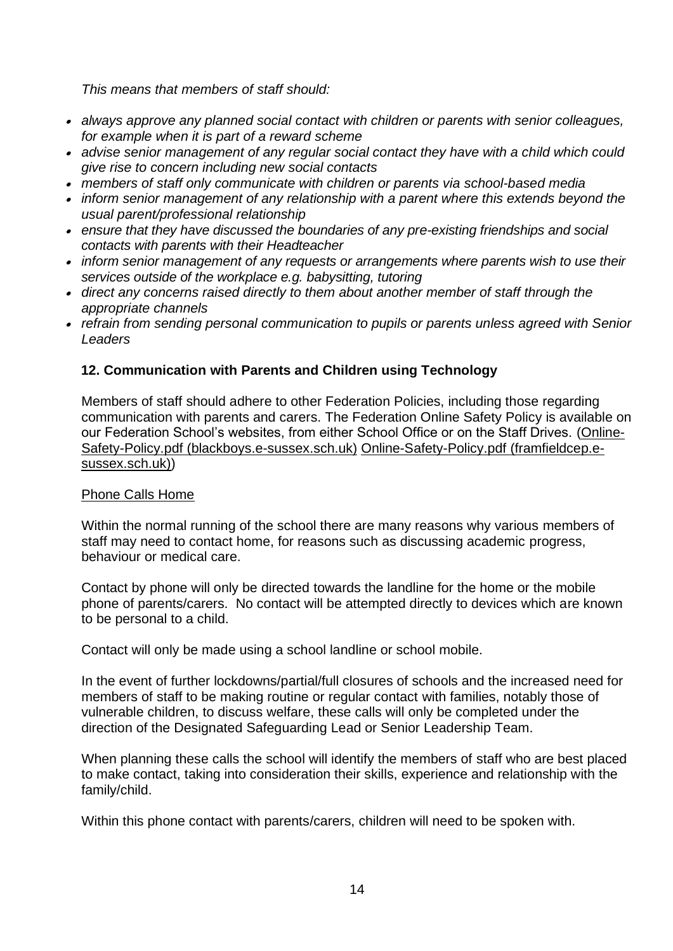*This means that members of staff should:*

- *always approve any planned social contact with children or parents with senior colleagues, for example when it is part of a reward scheme*
- *advise senior management of any regular social contact they have with a child which could give rise to concern including new social contacts*
- *members of staff only communicate with children or parents via school-based media*
- *inform senior management of any relationship with a parent where this extends beyond the usual parent/professional relationship*
- *ensure that they have discussed the boundaries of any pre-existing friendships and social contacts with parents with their Headteacher*
- *inform senior management of any requests or arrangements where parents wish to use their services outside of the workplace e.g. babysitting, tutoring*
- *direct any concerns raised directly to them about another member of staff through the appropriate channels*
- *refrain from sending personal communication to pupils or parents unless agreed with Senior Leaders*

# **12. Communication with Parents and Children using Technology**

Members of staff should adhere to other Federation Policies, including those regarding communication with parents and carers. The Federation Online Safety Policy is available on our Federation School's websites, from either School Office or on the Staff Drives. [\(Online-](https://www.blackboys.e-sussex.sch.uk/wp-content/uploads/2022/02/Online-Safety-Policy.pdf)[Safety-Policy.pdf \(blackboys.e-sussex.sch.uk\)](https://www.blackboys.e-sussex.sch.uk/wp-content/uploads/2022/02/Online-Safety-Policy.pdf) [Online-Safety-Policy.pdf \(framfieldcep.e](https://www.framfieldcep.e-sussex.sch.uk/wp-content/uploads/2022/02/Online-Safety-Policy.pdf)[sussex.sch.uk\)\)](https://www.framfieldcep.e-sussex.sch.uk/wp-content/uploads/2022/02/Online-Safety-Policy.pdf)

#### Phone Calls Home

Within the normal running of the school there are many reasons why various members of staff may need to contact home, for reasons such as discussing academic progress, behaviour or medical care.

Contact by phone will only be directed towards the landline for the home or the mobile phone of parents/carers. No contact will be attempted directly to devices which are known to be personal to a child.

Contact will only be made using a school landline or school mobile.

In the event of further lockdowns/partial/full closures of schools and the increased need for members of staff to be making routine or regular contact with families, notably those of vulnerable children, to discuss welfare, these calls will only be completed under the direction of the Designated Safeguarding Lead or Senior Leadership Team.

When planning these calls the school will identify the members of staff who are best placed to make contact, taking into consideration their skills, experience and relationship with the family/child.

Within this phone contact with parents/carers, children will need to be spoken with.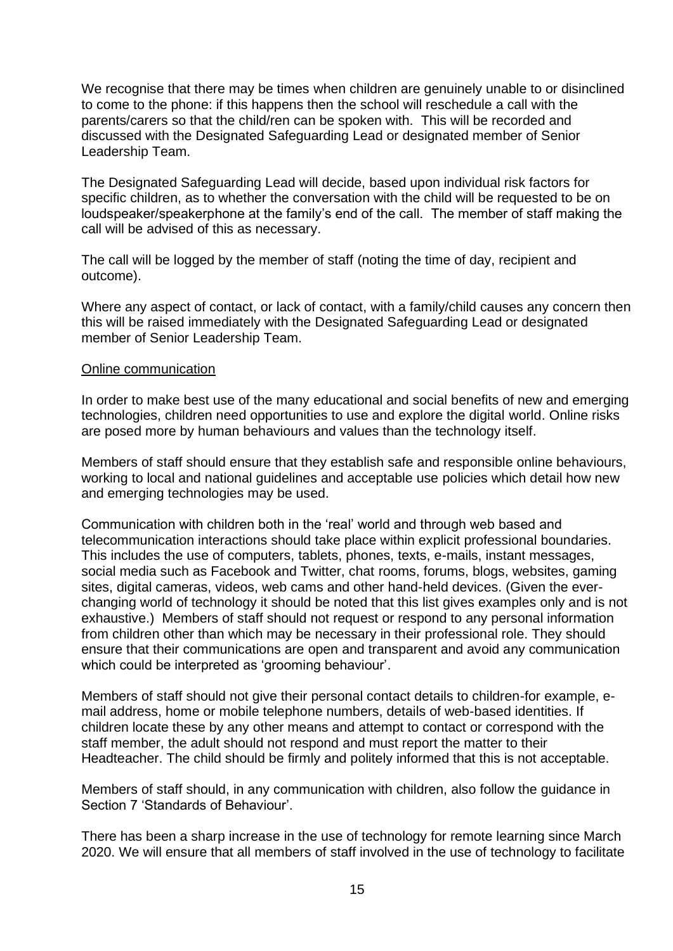We recognise that there may be times when children are genuinely unable to or disinclined to come to the phone: if this happens then the school will reschedule a call with the parents/carers so that the child/ren can be spoken with. This will be recorded and discussed with the Designated Safeguarding Lead or designated member of Senior Leadership Team.

The Designated Safeguarding Lead will decide, based upon individual risk factors for specific children, as to whether the conversation with the child will be requested to be on loudspeaker/speakerphone at the family's end of the call. The member of staff making the call will be advised of this as necessary.

The call will be logged by the member of staff (noting the time of day, recipient and outcome).

Where any aspect of contact, or lack of contact, with a family/child causes any concern then this will be raised immediately with the Designated Safeguarding Lead or designated member of Senior Leadership Team.

#### Online communication

In order to make best use of the many educational and social benefits of new and emerging technologies, children need opportunities to use and explore the digital world. Online risks are posed more by human behaviours and values than the technology itself.

Members of staff should ensure that they establish safe and responsible online behaviours, working to local and national guidelines and acceptable use policies which detail how new and emerging technologies may be used.

Communication with children both in the 'real' world and through web based and telecommunication interactions should take place within explicit professional boundaries. This includes the use of computers, tablets, phones, texts, e-mails, instant messages, social media such as Facebook and Twitter, chat rooms, forums, blogs, websites, gaming sites, digital cameras, videos, web cams and other hand-held devices. (Given the everchanging world of technology it should be noted that this list gives examples only and is not exhaustive.) Members of staff should not request or respond to any personal information from children other than which may be necessary in their professional role. They should ensure that their communications are open and transparent and avoid any communication which could be interpreted as 'grooming behaviour'.

Members of staff should not give their personal contact details to children-for example, email address, home or mobile telephone numbers, details of web-based identities. If children locate these by any other means and attempt to contact or correspond with the staff member, the adult should not respond and must report the matter to their Headteacher. The child should be firmly and politely informed that this is not acceptable.

Members of staff should, in any communication with children, also follow the guidance in Section 7 'Standards of Behaviour'.

There has been a sharp increase in the use of technology for remote learning since March 2020. We will ensure that all members of staff involved in the use of technology to facilitate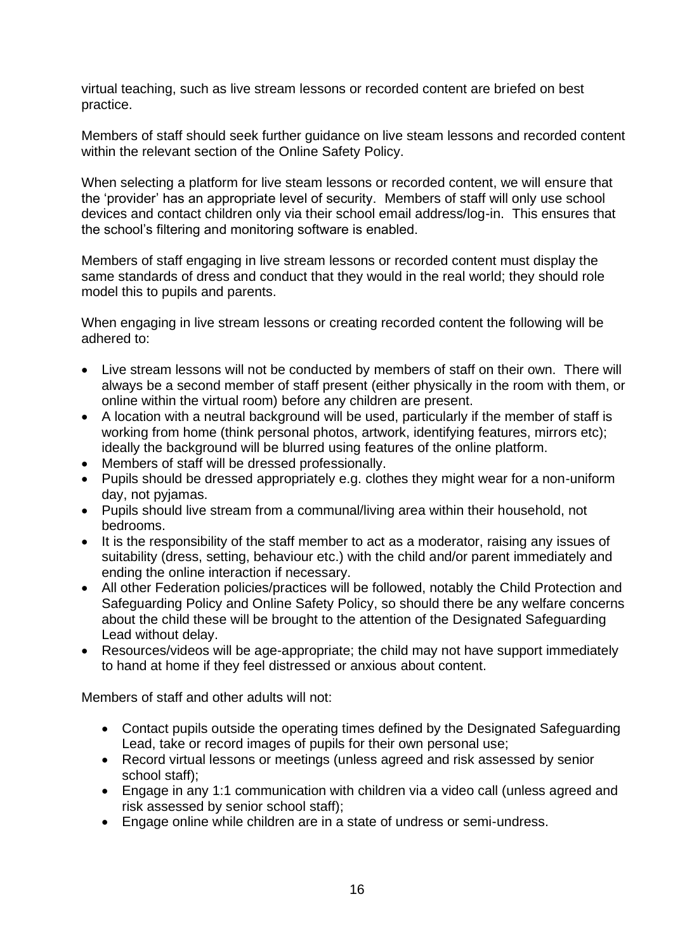virtual teaching, such as live stream lessons or recorded content are briefed on best practice.

Members of staff should seek further guidance on live steam lessons and recorded content within the relevant section of the Online Safety Policy.

When selecting a platform for live steam lessons or recorded content, we will ensure that the 'provider' has an appropriate level of security. Members of staff will only use school devices and contact children only via their school email address/log-in. This ensures that the school's filtering and monitoring software is enabled.

Members of staff engaging in live stream lessons or recorded content must display the same standards of dress and conduct that they would in the real world; they should role model this to pupils and parents.

When engaging in live stream lessons or creating recorded content the following will be adhered to:

- Live stream lessons will not be conducted by members of staff on their own. There will always be a second member of staff present (either physically in the room with them, or online within the virtual room) before any children are present.
- A location with a neutral background will be used, particularly if the member of staff is working from home (think personal photos, artwork, identifying features, mirrors etc); ideally the background will be blurred using features of the online platform.
- Members of staff will be dressed professionally.
- Pupils should be dressed appropriately e.g. clothes they might wear for a non-uniform day, not pyjamas.
- Pupils should live stream from a communal/living area within their household, not bedrooms.
- It is the responsibility of the staff member to act as a moderator, raising any issues of suitability (dress, setting, behaviour etc.) with the child and/or parent immediately and ending the online interaction if necessary.
- All other Federation policies/practices will be followed, notably the Child Protection and Safeguarding Policy and Online Safety Policy, so should there be any welfare concerns about the child these will be brought to the attention of the Designated Safeguarding Lead without delay.
- Resources/videos will be age-appropriate; the child may not have support immediately to hand at home if they feel distressed or anxious about content.

Members of staff and other adults will not:

- Contact pupils outside the operating times defined by the Designated Safeguarding Lead, take or record images of pupils for their own personal use;
- Record virtual lessons or meetings (unless agreed and risk assessed by senior school staff);
- Engage in any 1:1 communication with children via a video call (unless agreed and risk assessed by senior school staff);
- Engage online while children are in a state of undress or semi-undress.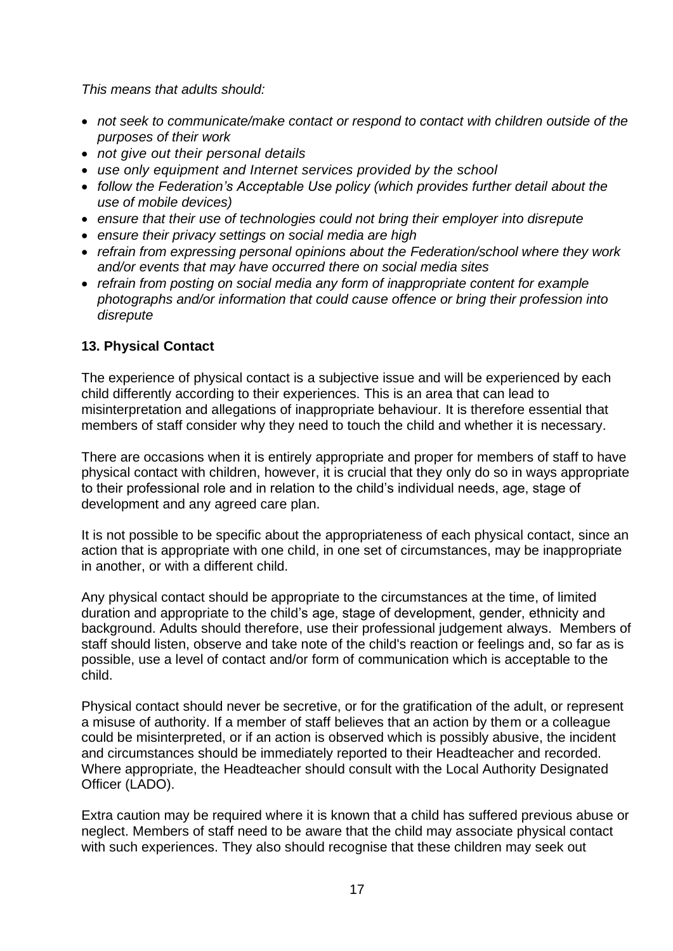*This means that adults should:*

- *not seek to communicate/make contact or respond to contact with children outside of the purposes of their work*
- *not give out their personal details*
- *use only equipment and Internet services provided by the school*
- *follow the Federation's Acceptable Use policy (which provides further detail about the use of mobile devices)*
- *ensure that their use of technologies could not bring their employer into disrepute*
- *ensure their privacy settings on social media are high*
- *refrain from expressing personal opinions about the Federation/school where they work and/or events that may have occurred there on social media sites*
- *refrain from posting on social media any form of inappropriate content for example photographs and/or information that could cause offence or bring their profession into disrepute*

# **13. Physical Contact**

The experience of physical contact is a subjective issue and will be experienced by each child differently according to their experiences. This is an area that can lead to misinterpretation and allegations of inappropriate behaviour. It is therefore essential that members of staff consider why they need to touch the child and whether it is necessary.

There are occasions when it is entirely appropriate and proper for members of staff to have physical contact with children, however, it is crucial that they only do so in ways appropriate to their professional role and in relation to the child's individual needs, age, stage of development and any agreed care plan.

It is not possible to be specific about the appropriateness of each physical contact, since an action that is appropriate with one child, in one set of circumstances, may be inappropriate in another, or with a different child.

Any physical contact should be appropriate to the circumstances at the time, of limited duration and appropriate to the child's age, stage of development, gender, ethnicity and background. Adults should therefore, use their professional judgement always. Members of staff should listen, observe and take note of the child's reaction or feelings and, so far as is possible, use a level of contact and/or form of communication which is acceptable to the child.

Physical contact should never be secretive, or for the gratification of the adult, or represent a misuse of authority. If a member of staff believes that an action by them or a colleague could be misinterpreted, or if an action is observed which is possibly abusive, the incident and circumstances should be immediately reported to their Headteacher and recorded. Where appropriate, the Headteacher should consult with the Local Authority Designated Officer (LADO).

Extra caution may be required where it is known that a child has suffered previous abuse or neglect. Members of staff need to be aware that the child may associate physical contact with such experiences. They also should recognise that these children may seek out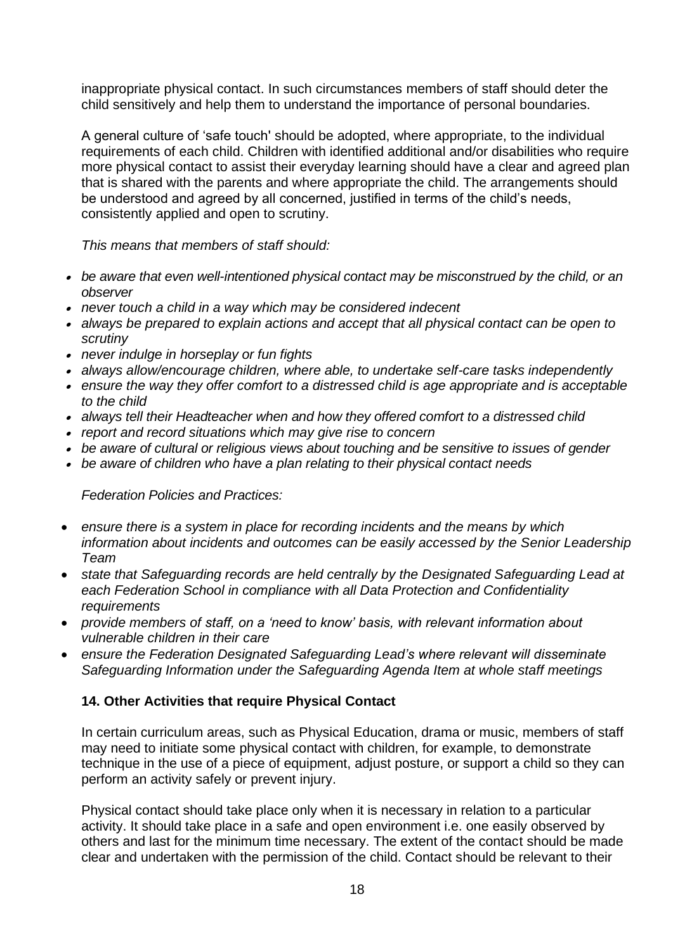inappropriate physical contact. In such circumstances members of staff should deter the child sensitively and help them to understand the importance of personal boundaries.

A general culture of 'safe touch' should be adopted, where appropriate, to the individual requirements of each child. Children with identified additional and/or disabilities who require more physical contact to assist their everyday learning should have a clear and agreed plan that is shared with the parents and where appropriate the child. The arrangements should be understood and agreed by all concerned, justified in terms of the child's needs, consistently applied and open to scrutiny.

*This means that members of staff should:*

- *be aware that even well-intentioned physical contact may be misconstrued by the child, or an observer*
- *never touch a child in a way which may be considered indecent*
- *always be prepared to explain actions and accept that all physical contact can be open to scrutiny*
- *never indulge in horseplay or fun fights*
- *always allow/encourage children, where able, to undertake self-care tasks independently*
- *ensure the way they offer comfort to a distressed child is age appropriate and is acceptable to the child*
- *always tell their Headteacher when and how they offered comfort to a distressed child*
- *report and record situations which may give rise to concern*
- *be aware of cultural or religious views about touching and be sensitive to issues of gender*
- *be aware of children who have a plan relating to their physical contact needs*

*Federation Policies and Practices:*

- *ensure there is a system in place for recording incidents and the means by which information about incidents and outcomes can be easily accessed by the Senior Leadership Team*
- *state that Safeguarding records are held centrally by the Designated Safeguarding Lead at each Federation School in compliance with all Data Protection and Confidentiality requirements*
- *provide members of staff, on a 'need to know' basis, with relevant information about vulnerable children in their care*
- *ensure the Federation Designated Safeguarding Lead's where relevant will disseminate Safeguarding Information under the Safeguarding Agenda Item at whole staff meetings*

# **14. Other Activities that require Physical Contact**

In certain curriculum areas, such as Physical Education, drama or music, members of staff may need to initiate some physical contact with children, for example, to demonstrate technique in the use of a piece of equipment, adjust posture, or support a child so they can perform an activity safely or prevent injury.

Physical contact should take place only when it is necessary in relation to a particular activity. It should take place in a safe and open environment i.e. one easily observed by others and last for the minimum time necessary. The extent of the contact should be made clear and undertaken with the permission of the child. Contact should be relevant to their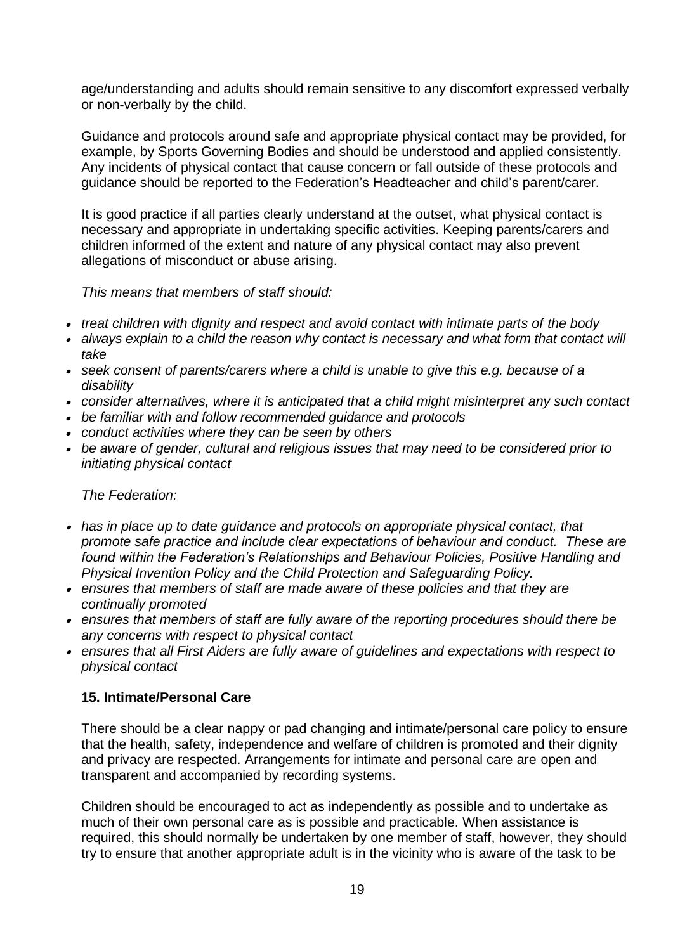age/understanding and adults should remain sensitive to any discomfort expressed verbally or non-verbally by the child.

Guidance and protocols around safe and appropriate physical contact may be provided, for example, by Sports Governing Bodies and should be understood and applied consistently. Any incidents of physical contact that cause concern or fall outside of these protocols and guidance should be reported to the Federation's Headteacher and child's parent/carer.

It is good practice if all parties clearly understand at the outset, what physical contact is necessary and appropriate in undertaking specific activities. Keeping parents/carers and children informed of the extent and nature of any physical contact may also prevent allegations of misconduct or abuse arising.

*This means that members of staff should:*

- *treat children with dignity and respect and avoid contact with intimate parts of the body*
- *always explain to a child the reason why contact is necessary and what form that contact will take*
- *seek consent of parents/carers where a child is unable to give this e.g. because of a disability*
- *consider alternatives, where it is anticipated that a child might misinterpret any such contact*
- *be familiar with and follow recommended guidance and protocols*
- *conduct activities where they can be seen by others*
- *be aware of gender, cultural and religious issues that may need to be considered prior to initiating physical contact*

*The Federation:*

- has in place up to date guidance and protocols on appropriate physical contact, that *promote safe practice and include clear expectations of behaviour and conduct. These are found within the Federation's Relationships and Behaviour Policies, Positive Handling and Physical Invention Policy and the Child Protection and Safeguarding Policy.*
- *ensures that members of staff are made aware of these policies and that they are continually promoted*
- ensures that members of staff are fully aware of the reporting procedures should there be *any concerns with respect to physical contact*
- *ensures that all First Aiders are fully aware of guidelines and expectations with respect to physical contact*

#### **15. Intimate/Personal Care**

There should be a clear nappy or pad changing and intimate/personal care policy to ensure that the health, safety, independence and welfare of children is promoted and their dignity and privacy are respected. Arrangements for intimate and personal care are open and transparent and accompanied by recording systems.

Children should be encouraged to act as independently as possible and to undertake as much of their own personal care as is possible and practicable. When assistance is required, this should normally be undertaken by one member of staff, however, they should try to ensure that another appropriate adult is in the vicinity who is aware of the task to be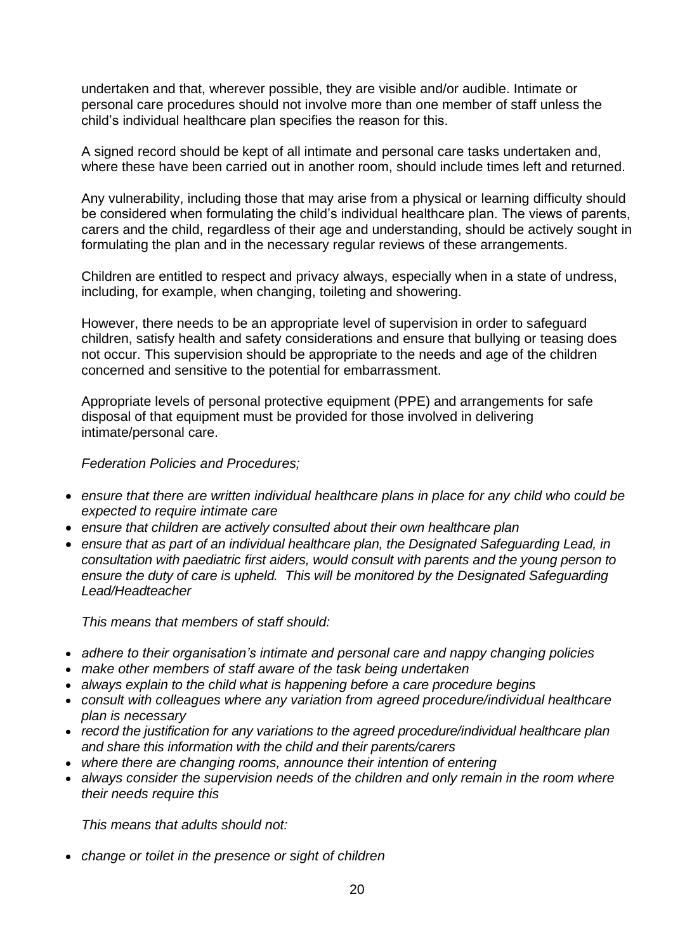undertaken and that, wherever possible, they are visible and/or audible. Intimate or personal care procedures should not involve more than one member of staff unless the child's individual healthcare plan specifies the reason for this.

A signed record should be kept of all intimate and personal care tasks undertaken and, where these have been carried out in another room, should include times left and returned.

Any vulnerability, including those that may arise from a physical or learning difficulty should be considered when formulating the child's individual healthcare plan. The views of parents, carers and the child, regardless of their age and understanding, should be actively sought in formulating the plan and in the necessary regular reviews of these arrangements.

Children are entitled to respect and privacy always, especially when in a state of undress, including, for example, when changing, toileting and showering.

However, there needs to be an appropriate level of supervision in order to safeguard children, satisfy health and safety considerations and ensure that bullying or teasing does not occur. This supervision should be appropriate to the needs and age of the children concerned and sensitive to the potential for embarrassment.

Appropriate levels of personal protective equipment (PPE) and arrangements for safe disposal of that equipment must be provided for those involved in delivering intimate/personal care.

*Federation Policies and Procedures;*

- *ensure that there are written individual healthcare plans in place for any child who could be expected to require intimate care*
- *ensure that children are actively consulted about their own healthcare plan*
- *ensure that as part of an individual healthcare plan, the Designated Safeguarding Lead, in consultation with paediatric first aiders, would consult with parents and the young person to ensure the duty of care is upheld. This will be monitored by the Designated Safeguarding Lead/Headteacher*

*This means that members of staff should:*

- *adhere to their organisation's intimate and personal care and nappy changing policies*
- *make other members of staff aware of the task being undertaken*
- *always explain to the child what is happening before a care procedure begins*
- *consult with colleagues where any variation from agreed procedure/individual healthcare plan is necessary*
- *record the justification for any variations to the agreed procedure/individual healthcare plan and share this information with the child and their parents/carers*
- *where there are changing rooms, announce their intention of entering*
- *always consider the supervision needs of the children and only remain in the room where their needs require this*

*This means that adults should not:*

• *change or toilet in the presence or sight of children*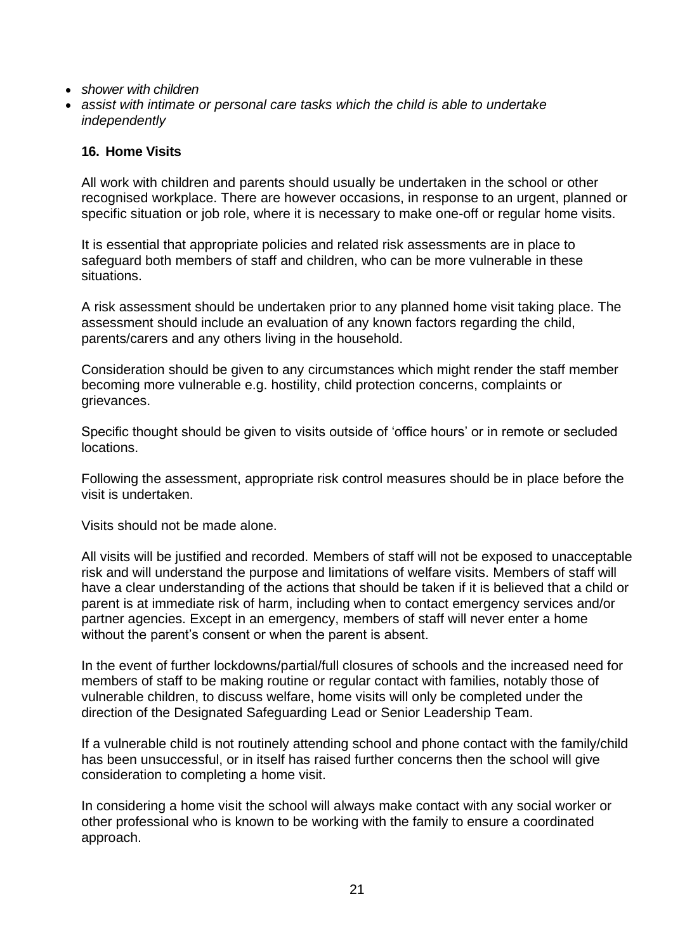- *shower with children*
- *assist with intimate or personal care tasks which the child is able to undertake independently*

#### **16. Home Visits**

All work with children and parents should usually be undertaken in the school or other recognised workplace. There are however occasions, in response to an urgent, planned or specific situation or job role, where it is necessary to make one-off or regular home visits.

It is essential that appropriate policies and related risk assessments are in place to safeguard both members of staff and children, who can be more vulnerable in these situations.

A risk assessment should be undertaken prior to any planned home visit taking place. The assessment should include an evaluation of any known factors regarding the child, parents/carers and any others living in the household.

Consideration should be given to any circumstances which might render the staff member becoming more vulnerable e.g. hostility, child protection concerns, complaints or grievances.

Specific thought should be given to visits outside of 'office hours' or in remote or secluded locations.

Following the assessment, appropriate risk control measures should be in place before the visit is undertaken.

Visits should not be made alone.

All visits will be justified and recorded. Members of staff will not be exposed to unacceptable risk and will understand the purpose and limitations of welfare visits. Members of staff will have a clear understanding of the actions that should be taken if it is believed that a child or parent is at immediate risk of harm, including when to contact emergency services and/or partner agencies. Except in an emergency, members of staff will never enter a home without the parent's consent or when the parent is absent.

In the event of further lockdowns/partial/full closures of schools and the increased need for members of staff to be making routine or regular contact with families, notably those of vulnerable children, to discuss welfare, home visits will only be completed under the direction of the Designated Safeguarding Lead or Senior Leadership Team.

If a vulnerable child is not routinely attending school and phone contact with the family/child has been unsuccessful, or in itself has raised further concerns then the school will give consideration to completing a home visit.

In considering a home visit the school will always make contact with any social worker or other professional who is known to be working with the family to ensure a coordinated approach.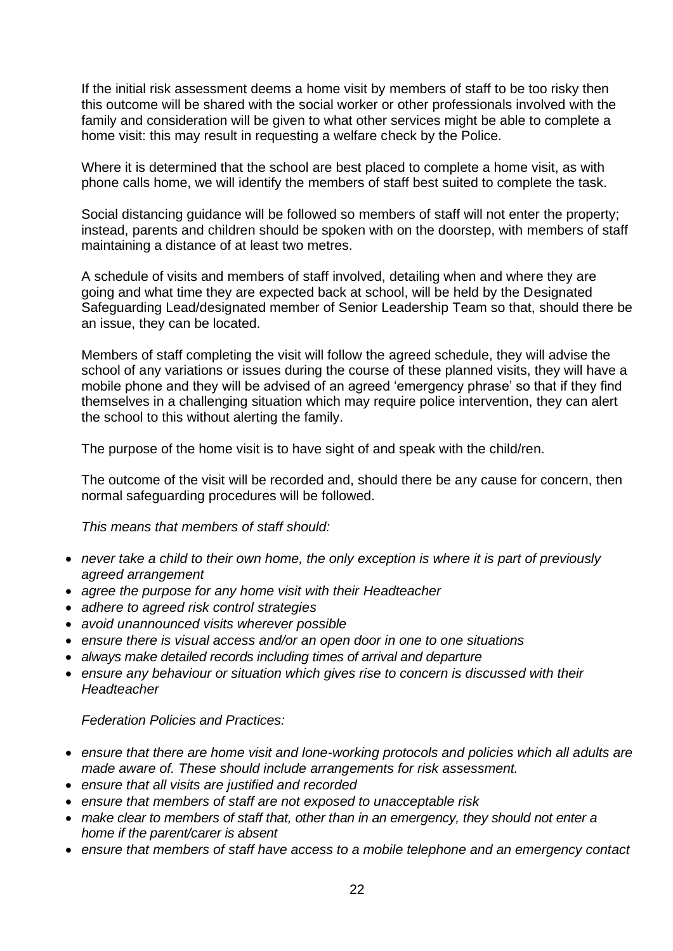If the initial risk assessment deems a home visit by members of staff to be too risky then this outcome will be shared with the social worker or other professionals involved with the family and consideration will be given to what other services might be able to complete a home visit: this may result in requesting a welfare check by the Police.

Where it is determined that the school are best placed to complete a home visit, as with phone calls home, we will identify the members of staff best suited to complete the task.

Social distancing guidance will be followed so members of staff will not enter the property; instead, parents and children should be spoken with on the doorstep, with members of staff maintaining a distance of at least two metres.

A schedule of visits and members of staff involved, detailing when and where they are going and what time they are expected back at school, will be held by the Designated Safeguarding Lead/designated member of Senior Leadership Team so that, should there be an issue, they can be located.

Members of staff completing the visit will follow the agreed schedule, they will advise the school of any variations or issues during the course of these planned visits, they will have a mobile phone and they will be advised of an agreed 'emergency phrase' so that if they find themselves in a challenging situation which may require police intervention, they can alert the school to this without alerting the family.

The purpose of the home visit is to have sight of and speak with the child/ren.

The outcome of the visit will be recorded and, should there be any cause for concern, then normal safeguarding procedures will be followed.

*This means that members of staff should:*

- *never take a child to their own home, the only exception is where it is part of previously agreed arrangement*
- *agree the purpose for any home visit with their Headteacher*
- *adhere to agreed risk control strategies*
- *avoid unannounced visits wherever possible*
- *ensure there is visual access and/or an open door in one to one situations*
- *always make detailed records including times of arrival and departure*
- *ensure any behaviour or situation which gives rise to concern is discussed with their Headteacher*

*Federation Policies and Practices:*

- *ensure that there are home visit and lone-working protocols and policies which all adults are made aware of. These should include arrangements for risk assessment.*
- *ensure that all visits are justified and recorded*
- *ensure that members of staff are not exposed to unacceptable risk*
- *make clear to members of staff that, other than in an emergency, they should not enter a home if the parent/carer is absent*
- *ensure that members of staff have access to a mobile telephone and an emergency contact*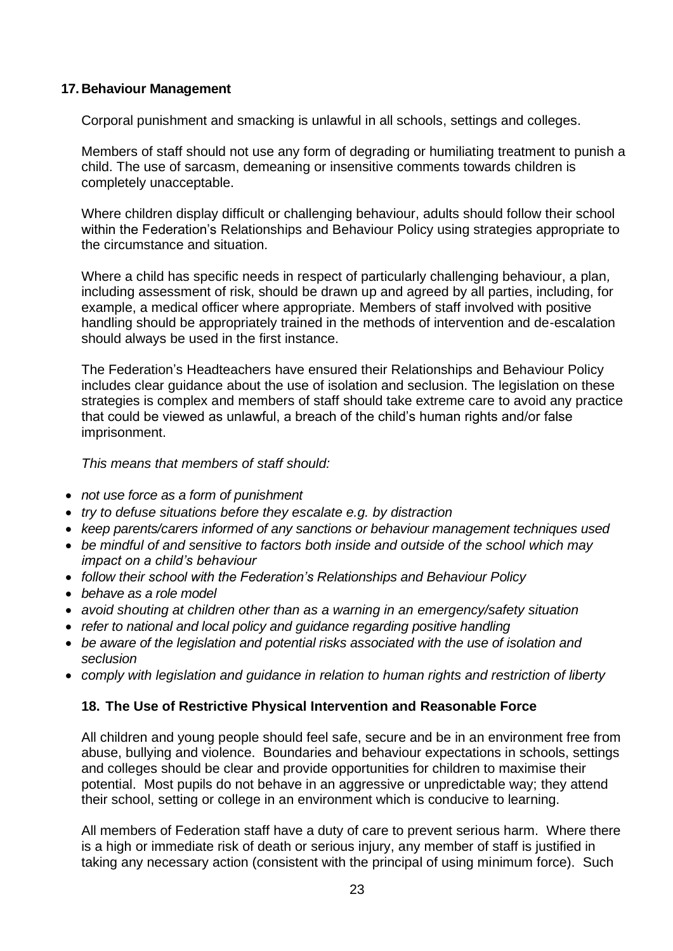#### **17. Behaviour Management**

Corporal punishment and smacking is unlawful in all schools, settings and colleges.

Members of staff should not use any form of degrading or humiliating treatment to punish a child. The use of sarcasm, demeaning or insensitive comments towards children is completely unacceptable.

Where children display difficult or challenging behaviour, adults should follow their school within the Federation's Relationships and Behaviour Policy using strategies appropriate to the circumstance and situation.

Where a child has specific needs in respect of particularly challenging behaviour, a plan*,*  including assessment of risk, should be drawn up and agreed by all parties, including, for example, a medical officer where appropriate. Members of staff involved with positive handling should be appropriately trained in the methods of intervention and de-escalation should always be used in the first instance.

The Federation's Headteachers have ensured their Relationships and Behaviour Policy includes clear guidance about the use of isolation and seclusion. The legislation on these strategies is complex and members of staff should take extreme care to avoid any practice that could be viewed as unlawful, a breach of the child's human rights and/or false imprisonment.

*This means that members of staff should:*

- *not use force as a form of punishment*
- *try to defuse situations before they escalate e.g. by distraction*
- *keep parents/carers informed of any sanctions or behaviour management techniques used*
- *be mindful of and sensitive to factors both inside and outside of the school which may impact on a child's behaviour*
- *follow their school with the Federation's Relationships and Behaviour Policy*
- *behave as a role model*
- *avoid shouting at children other than as a warning in an emergency/safety situation*
- *refer to national and local policy and guidance regarding positive handling*
- *be aware of the legislation and potential risks associated with the use of isolation and seclusion*
- *comply with legislation and guidance in relation to human rights and restriction of liberty*

# **18. The Use of Restrictive Physical Intervention and Reasonable Force**

All children and young people should feel safe, secure and be in an environment free from abuse, bullying and violence. Boundaries and behaviour expectations in schools, settings and colleges should be clear and provide opportunities for children to maximise their potential. Most pupils do not behave in an aggressive or unpredictable way; they attend their school, setting or college in an environment which is conducive to learning.

All members of Federation staff have a duty of care to prevent serious harm. Where there is a high or immediate risk of death or serious injury, any member of staff is justified in taking any necessary action (consistent with the principal of using minimum force). Such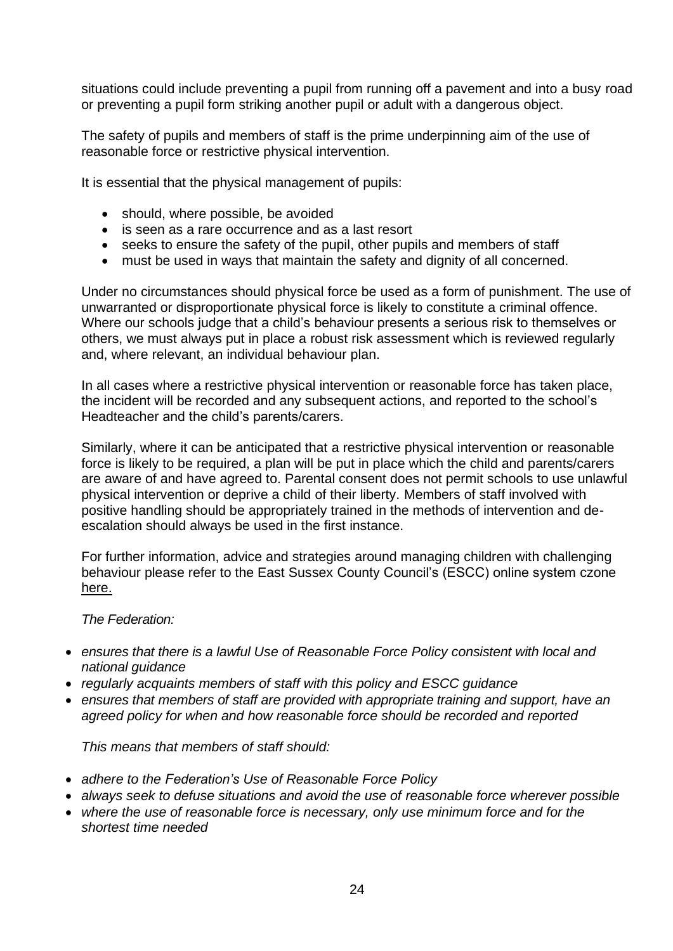situations could include preventing a pupil from running off a pavement and into a busy road or preventing a pupil form striking another pupil or adult with a dangerous object.

The safety of pupils and members of staff is the prime underpinning aim of the use of reasonable force or restrictive physical intervention.

It is essential that the physical management of pupils:

- should, where possible, be avoided
- is seen as a rare occurrence and as a last resort
- seeks to ensure the safety of the pupil, other pupils and members of staff
- must be used in ways that maintain the safety and dignity of all concerned.

Under no circumstances should physical force be used as a form of punishment. The use of unwarranted or disproportionate physical force is likely to constitute a criminal offence. Where our schools judge that a child's behaviour presents a serious risk to themselves or others, we must always put in place a robust risk assessment which is reviewed regularly and, where relevant, an individual behaviour plan.

In all cases where a restrictive physical intervention or reasonable force has taken place, the incident will be recorded and any subsequent actions, and reported to the school's Headteacher and the child's parents/carers.

Similarly, where it can be anticipated that a restrictive physical intervention or reasonable force is likely to be required, a plan will be put in place which the child and parents/carers are aware of and have agreed to. Parental consent does not permit schools to use unlawful physical intervention or deprive a child of their liberty. Members of staff involved with positive handling should be appropriately trained in the methods of intervention and deescalation should always be used in the first instance.

For further information, advice and strategies around managing children with challenging behaviour please refer to the East Sussex County Council's (ESCC) online system czone [here.](https://czone.eastsussex.gov.uk/student-management/attendance-behaviour/challenging-behaviour/)

*The Federation:*

- *ensures that there is a lawful Use of Reasonable Force Policy consistent with local and national guidance*
- *regularly acquaints members of staff with this policy and ESCC guidance*
- *ensures that members of staff are provided with appropriate training and support, have an agreed policy for when and how reasonable force should be recorded and reported*

*This means that members of staff should:*

- *adhere to the Federation's Use of Reasonable Force Policy*
- *always seek to defuse situations and avoid the use of reasonable force wherever possible*
- *where the use of reasonable force is necessary, only use minimum force and for the shortest time needed*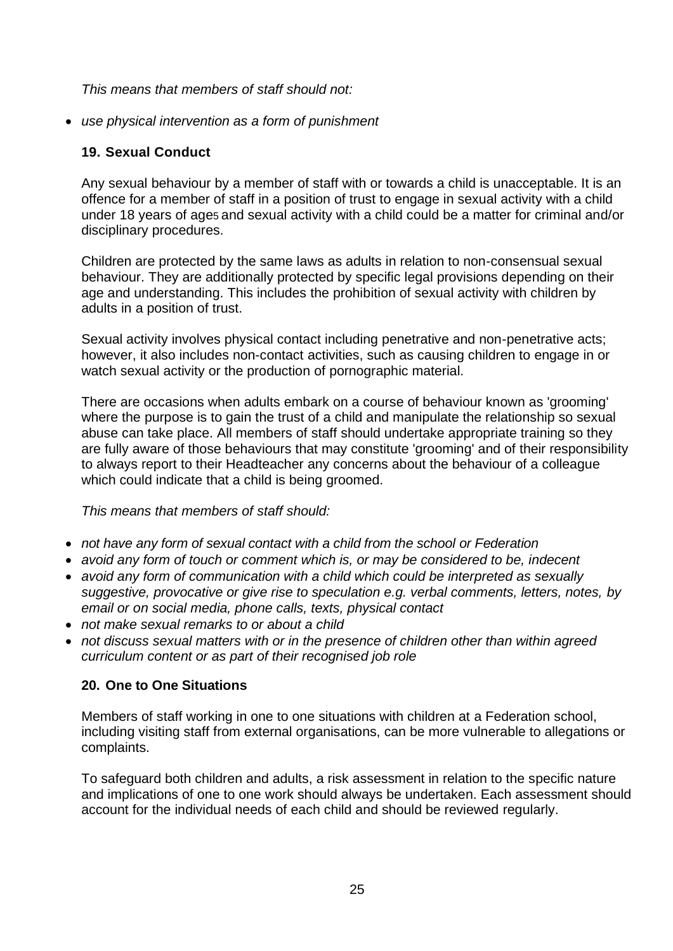*This means that members of staff should not:*

• *use physical intervention as a form of punishment*

# **19. Sexual Conduct**

Any sexual behaviour by a member of staff with or towards a child is unacceptable. It is an offence for a member of staff in a position of trust to engage in sexual activity with a child under 18 years of age5 and sexual activity with a child could be a matter for criminal and/or disciplinary procedures.

Children are protected by the same laws as adults in relation to non-consensual sexual behaviour. They are additionally protected by specific legal provisions depending on their age and understanding. This includes the prohibition of sexual activity with children by adults in a position of trust.

Sexual activity involves physical contact including penetrative and non-penetrative acts; however, it also includes non-contact activities, such as causing children to engage in or watch sexual activity or the production of pornographic material.

There are occasions when adults embark on a course of behaviour known as 'grooming' where the purpose is to gain the trust of a child and manipulate the relationship so sexual abuse can take place. All members of staff should undertake appropriate training so they are fully aware of those behaviours that may constitute 'grooming' and of their responsibility to always report to their Headteacher any concerns about the behaviour of a colleague which could indicate that a child is being groomed.

*This means that members of staff should:*

- *not have any form of sexual contact with a child from the school or Federation*
- *avoid any form of touch or comment which is, or may be considered to be, indecent*
- *avoid any form of communication with a child which could be interpreted as sexually suggestive, provocative or give rise to speculation e.g. verbal comments, letters, notes, by email or on social media, phone calls, texts, physical contact*
- *not make sexual remarks to or about a child*
- *not discuss sexual matters with or in the presence of children other than within agreed curriculum content or as part of their recognised job role*

# **20. One to One Situations**

Members of staff working in one to one situations with children at a Federation school, including visiting staff from external organisations, can be more vulnerable to allegations or complaints.

To safeguard both children and adults, a risk assessment in relation to the specific nature and implications of one to one work should always be undertaken. Each assessment should account for the individual needs of each child and should be reviewed regularly.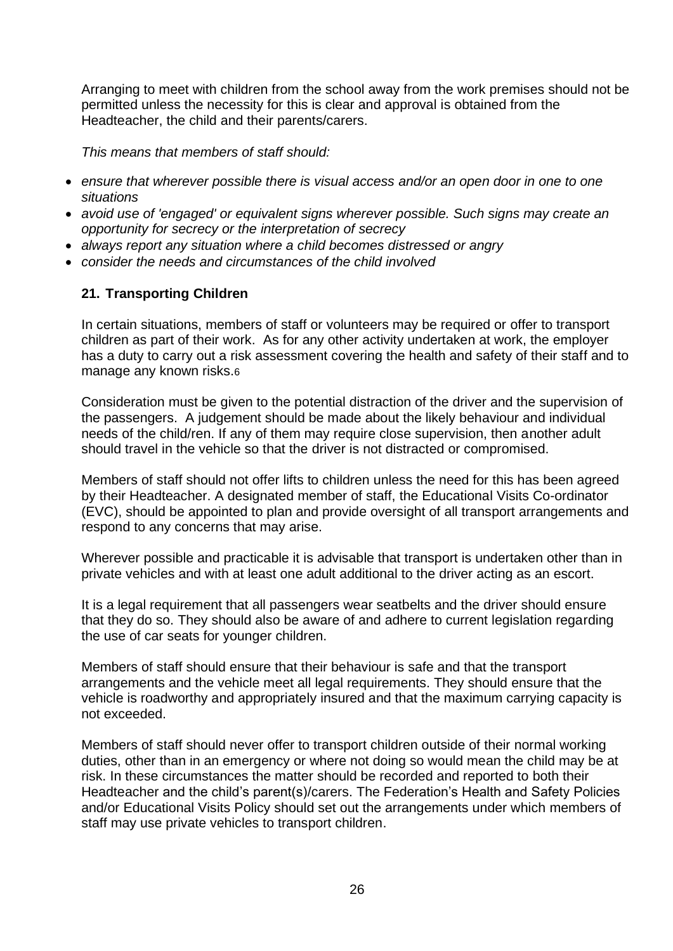Arranging to meet with children from the school away from the work premises should not be permitted unless the necessity for this is clear and approval is obtained from the Headteacher, the child and their parents/carers.

*This means that members of staff should:*

- *ensure that wherever possible there is visual access and/or an open door in one to one situations*
- *avoid use of 'engaged' or equivalent signs wherever possible. Such signs may create an opportunity for secrecy or the interpretation of secrecy*
- *always report any situation where a child becomes distressed or angry*
- *consider the needs and circumstances of the child involved*

#### **21. Transporting Children**

In certain situations, members of staff or volunteers may be required or offer to transport children as part of their work. As for any other activity undertaken at work, the employer has a duty to carry out a risk assessment covering the health and safety of their staff and to manage any known risks.6

Consideration must be given to the potential distraction of the driver and the supervision of the passengers. A judgement should be made about the likely behaviour and individual needs of the child/ren. If any of them may require close supervision, then another adult should travel in the vehicle so that the driver is not distracted or compromised.

Members of staff should not offer lifts to children unless the need for this has been agreed by their Headteacher. A designated member of staff, the Educational Visits Co-ordinator (EVC), should be appointed to plan and provide oversight of all transport arrangements and respond to any concerns that may arise.

Wherever possible and practicable it is advisable that transport is undertaken other than in private vehicles and with at least one adult additional to the driver acting as an escort.

It is a legal requirement that all passengers wear seatbelts and the driver should ensure that they do so. They should also be aware of and adhere to current legislation regarding the use of car seats for younger children.

Members of staff should ensure that their behaviour is safe and that the transport arrangements and the vehicle meet all legal requirements. They should ensure that the vehicle is roadworthy and appropriately insured and that the maximum carrying capacity is not exceeded.

Members of staff should never offer to transport children outside of their normal working duties, other than in an emergency or where not doing so would mean the child may be at risk. In these circumstances the matter should be recorded and reported to both their Headteacher and the child's parent(s)/carers. The Federation's Health and Safety Policies and/or Educational Visits Policy should set out the arrangements under which members of staff may use private vehicles to transport children.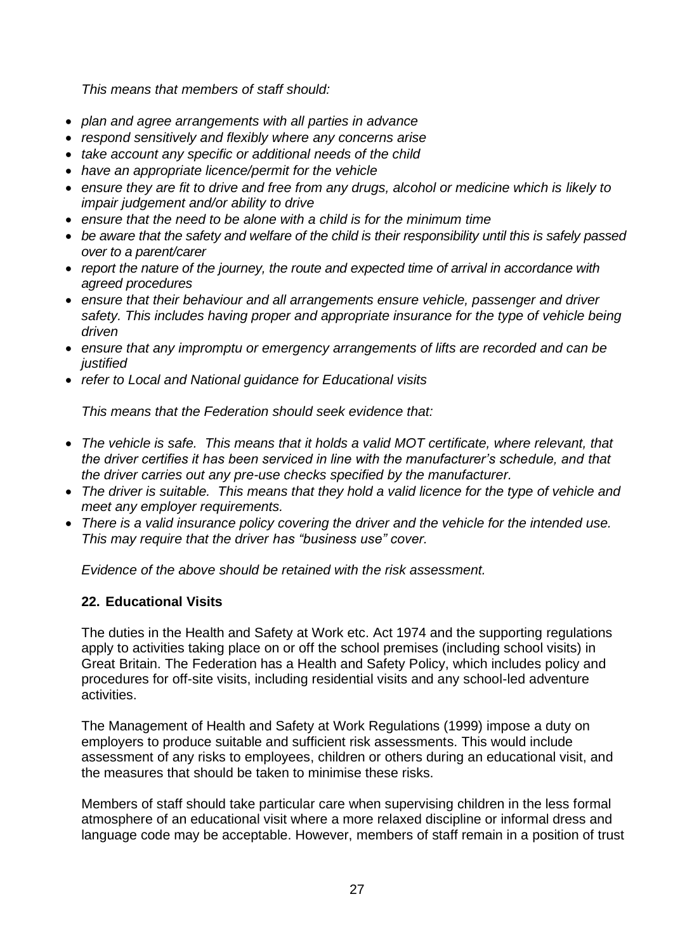*This means that members of staff should:*

- *plan and agree arrangements with all parties in advance*
- *respond sensitively and flexibly where any concerns arise*
- *take account any specific or additional needs of the child*
- *have an appropriate licence/permit for the vehicle*
- *ensure they are fit to drive and free from any drugs, alcohol or medicine which is likely to impair judgement and/or ability to drive*
- *ensure that the need to be alone with a child is for the minimum time*
- *be aware that the safety and welfare of the child is their responsibility until this is safely passed over to a parent/carer*
- *report the nature of the journey, the route and expected time of arrival in accordance with agreed procedures*
- *ensure that their behaviour and all arrangements ensure vehicle, passenger and driver safety. This includes having proper and appropriate insurance for the type of vehicle being driven*
- *ensure that any impromptu or emergency arrangements of lifts are recorded and can be justified*
- *refer to Local and National guidance for Educational visits*

*This means that the Federation should seek evidence that:* 

- *The vehicle is safe. This means that it holds a valid MOT certificate, where relevant, that the driver certifies it has been serviced in line with the manufacturer's schedule, and that the driver carries out any pre-use checks specified by the manufacturer.*
- *The driver is suitable. This means that they hold a valid licence for the type of vehicle and meet any employer requirements.*
- *There is a valid insurance policy covering the driver and the vehicle for the intended use. This may require that the driver has "business use" cover.*

*Evidence of the above should be retained with the risk assessment.* 

# **22. Educational Visits**

The duties in the Health and Safety at Work etc. Act 1974 and the supporting regulations apply to activities taking place on or off the school premises (including school visits) in Great Britain. The Federation has a Health and Safety Policy, which includes policy and procedures for off-site visits, including residential visits and any school-led adventure activities.

The Management of Health and Safety at Work Regulations (1999) impose a duty on employers to produce suitable and sufficient risk assessments. This would include assessment of any risks to employees, children or others during an educational visit, and the measures that should be taken to minimise these risks.

Members of staff should take particular care when supervising children in the less formal atmosphere of an educational visit where a more relaxed discipline or informal dress and language code may be acceptable. However, members of staff remain in a position of trust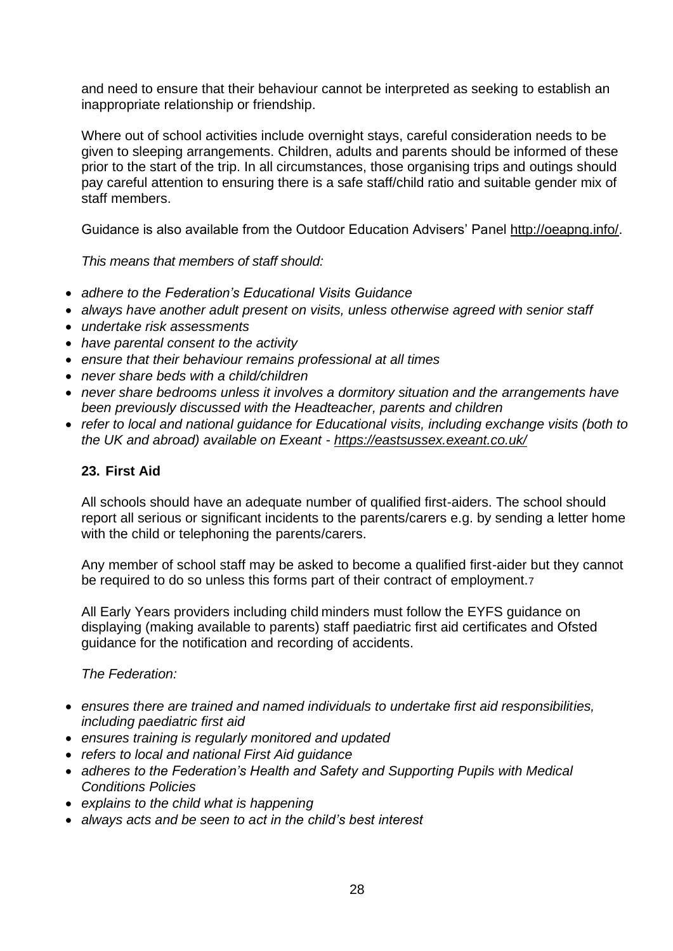and need to ensure that their behaviour cannot be interpreted as seeking to establish an inappropriate relationship or friendship.

Where out of school activities include overnight stays, careful consideration needs to be given to sleeping arrangements. Children, adults and parents should be informed of these prior to the start of the trip. In all circumstances, those organising trips and outings should pay careful attention to ensuring there is a safe staff/child ratio and suitable gender mix of staff members.

Guidance is also available from the Outdoor Education Advisers' Panel [http://oeapng.info/.](http://oeapng.info/)

*This means that members of staff should:*

- *adhere to the Federation's Educational Visits Guidance*
- *always have another adult present on visits, unless otherwise agreed with senior staff*
- *undertake risk assessments*
- *have parental consent to the activity*
- *ensure that their behaviour remains professional at all times*
- *never share beds with a child/children*
- *never share bedrooms unless it involves a dormitory situation and the arrangements have been previously discussed with the Headteacher, parents and children*
- *refer to local and national guidance for Educational visits, including exchange visits (both to the UK and abroad) available on Exeant - <https://eastsussex.exeant.co.uk/>*

#### **23. First Aid**

All schools should have an adequate number of qualified first-aiders. The school should report all serious or significant incidents to the parents/carers e.g. by sending a letter home with the child or telephoning the parents/carers.

Any member of school staff may be asked to become a qualified first-aider but they cannot be required to do so unless this forms part of their contract of employment.7

All Early Years providers including child minders must follow the EYFS guidance on displaying (making available to parents) staff paediatric first aid certificates and Ofsted guidance for the notification and recording of accidents.

*The Federation:*

- *ensures there are trained and named individuals to undertake first aid responsibilities, including paediatric first aid*
- *ensures training is regularly monitored and updated*
- *refers to local and national First Aid guidance*
- *adheres to the Federation's Health and Safety and Supporting Pupils with Medical Conditions Policies*
- *explains to the child what is happening*
- *always acts and be seen to act in the child's best interest*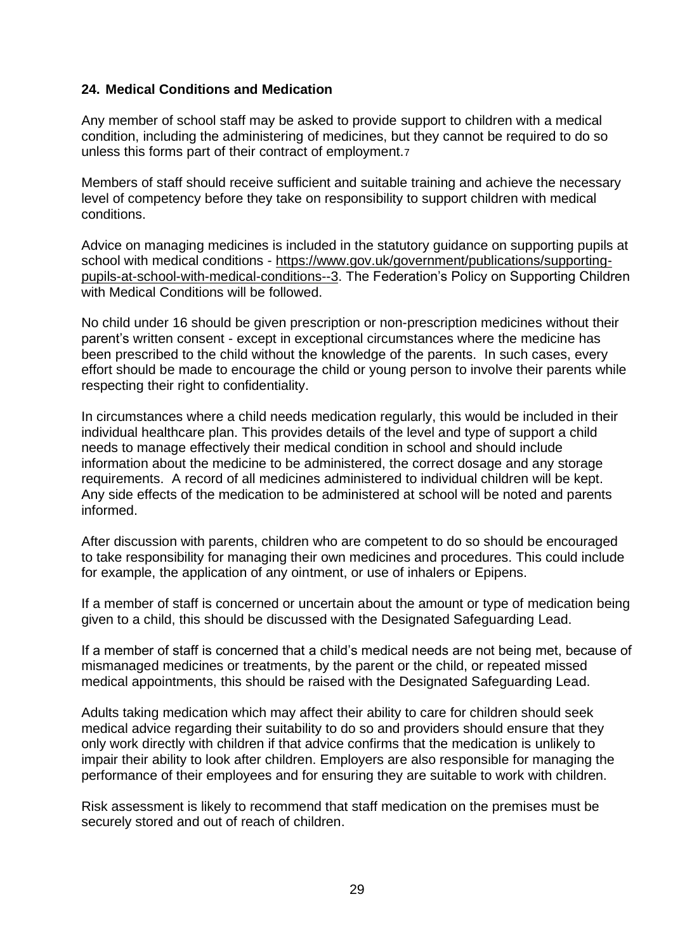# **24. Medical Conditions and Medication**

Any member of school staff may be asked to provide support to children with a medical condition, including the administering of medicines, but they cannot be required to do so unless this forms part of their contract of employment.7

Members of staff should receive sufficient and suitable training and achieve the necessary level of competency before they take on responsibility to support children with medical conditions.

Advice on managing medicines is included in the statutory guidance on supporting pupils at school with medical conditions - [https://www.gov.uk/government/publications/supporting](https://www.gov.uk/government/publications/supporting-pupils-at-school-with-medical-conditions--3)[pupils-at-school-with-medical-conditions--3.](https://www.gov.uk/government/publications/supporting-pupils-at-school-with-medical-conditions--3) The Federation's Policy on Supporting Children with Medical Conditions will be followed.

No child under 16 should be given prescription or non-prescription medicines without their parent's written consent - except in exceptional circumstances where the medicine has been prescribed to the child without the knowledge of the parents. In such cases, every effort should be made to encourage the child or young person to involve their parents while respecting their right to confidentiality.

In circumstances where a child needs medication regularly, this would be included in their individual healthcare plan. This provides details of the level and type of support a child needs to manage effectively their medical condition in school and should include information about the medicine to be administered, the correct dosage and any storage requirements. A record of all medicines administered to individual children will be kept. Any side effects of the medication to be administered at school will be noted and parents informed.

After discussion with parents, children who are competent to do so should be encouraged to take responsibility for managing their own medicines and procedures. This could include for example, the application of any ointment, or use of inhalers or Epipens.

If a member of staff is concerned or uncertain about the amount or type of medication being given to a child, this should be discussed with the Designated Safeguarding Lead.

If a member of staff is concerned that a child's medical needs are not being met, because of mismanaged medicines or treatments, by the parent or the child, or repeated missed medical appointments, this should be raised with the Designated Safeguarding Lead.

Adults taking medication which may affect their ability to care for children should seek medical advice regarding their suitability to do so and providers should ensure that they only work directly with children if that advice confirms that the medication is unlikely to impair their ability to look after children. Employers are also responsible for managing the performance of their employees and for ensuring they are suitable to work with children.

Risk assessment is likely to recommend that staff medication on the premises must be securely stored and out of reach of children.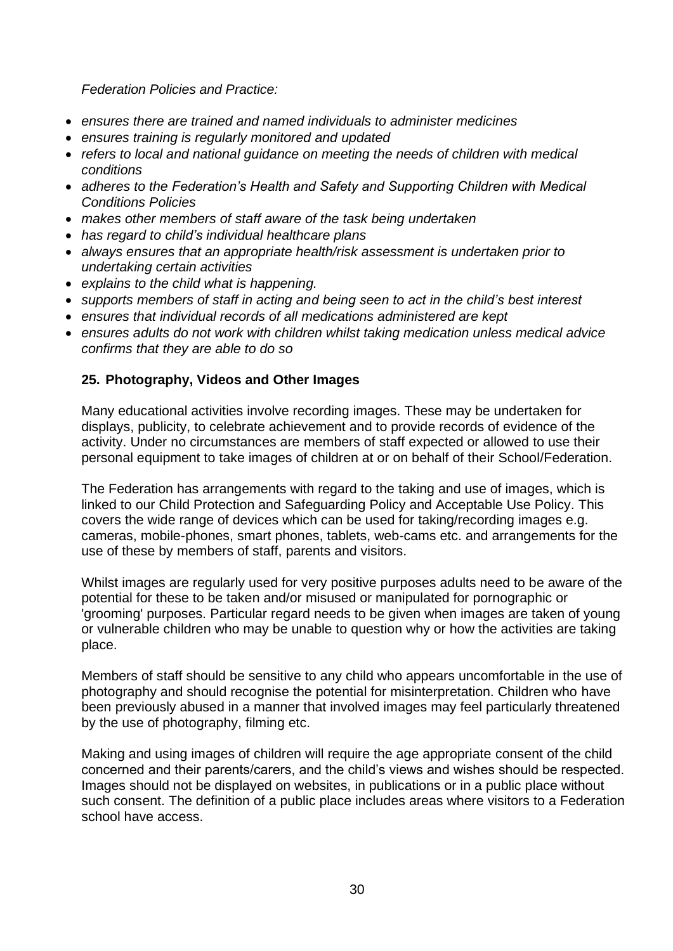*Federation Policies and Practice:* 

- *ensures there are trained and named individuals to administer medicines*
- *ensures training is regularly monitored and updated*
- *refers to local and national guidance on meeting the needs of children with medical conditions*
- *adheres to the Federation's Health and Safety and Supporting Children with Medical Conditions Policies*
- *makes other members of staff aware of the task being undertaken*
- *has regard to child's individual healthcare plans*
- *always ensures that an appropriate health/risk assessment is undertaken prior to undertaking certain activities*
- *explains to the child what is happening.*
- *supports members of staff in acting and being seen to act in the child's best interest*
- *ensures that individual records of all medications administered are kept*
- *ensures adults do not work with children whilst taking medication unless medical advice confirms that they are able to do so*

# **25. Photography, Videos and Other Images**

Many educational activities involve recording images. These may be undertaken for displays, publicity, to celebrate achievement and to provide records of evidence of the activity. Under no circumstances are members of staff expected or allowed to use their personal equipment to take images of children at or on behalf of their School/Federation.

The Federation has arrangements with regard to the taking and use of images, which is linked to our Child Protection and Safeguarding Policy and Acceptable Use Policy. This covers the wide range of devices which can be used for taking/recording images e.g. cameras, mobile-phones, smart phones, tablets, web-cams etc. and arrangements for the use of these by members of staff, parents and visitors.

Whilst images are regularly used for very positive purposes adults need to be aware of the potential for these to be taken and/or misused or manipulated for pornographic or 'grooming' purposes. Particular regard needs to be given when images are taken of young or vulnerable children who may be unable to question why or how the activities are taking place.

Members of staff should be sensitive to any child who appears uncomfortable in the use of photography and should recognise the potential for misinterpretation. Children who have been previously abused in a manner that involved images may feel particularly threatened by the use of photography, filming etc.

Making and using images of children will require the age appropriate consent of the child concerned and their parents/carers, and the child's views and wishes should be respected. Images should not be displayed on websites, in publications or in a public place without such consent. The definition of a public place includes areas where visitors to a Federation school have access.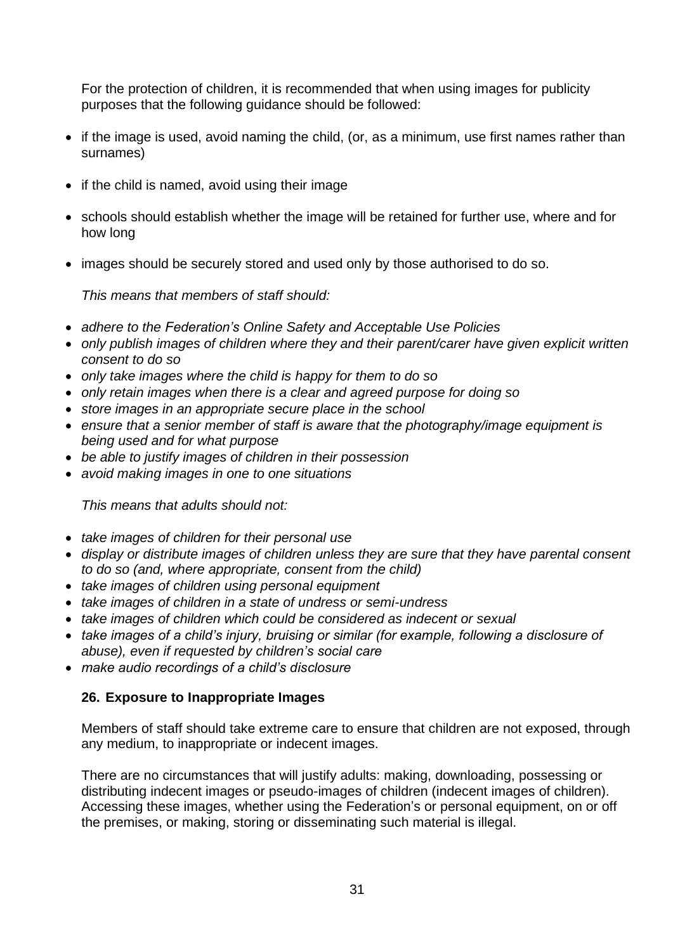For the protection of children, it is recommended that when using images for publicity purposes that the following guidance should be followed:

- if the image is used, avoid naming the child, (or, as a minimum, use first names rather than surnames)
- if the child is named, avoid using their image
- schools should establish whether the image will be retained for further use, where and for how long
- images should be securely stored and used only by those authorised to do so.

*This means that members of staff should:*

- *adhere to the Federation's Online Safety and Acceptable Use Policies*
- *only publish images of children where they and their parent/carer have given explicit written consent to do so*
- *only take images where the child is happy for them to do so*
- *only retain images when there is a clear and agreed purpose for doing so*
- *store images in an appropriate secure place in the school*
- *ensure that a senior member of staff is aware that the photography/image equipment is being used and for what purpose*
- *be able to justify images of children in their possession*
- *avoid making images in one to one situations*

*This means that adults should not:*

- *take images of children for their personal use*
- *display or distribute images of children unless they are sure that they have parental consent to do so (and, where appropriate, consent from the child)*
- *take images of children using personal equipment*
- *take images of children in a state of undress or semi-undress*
- *take images of children which could be considered as indecent or sexual*
- *take images of a child's injury, bruising or similar (for example, following a disclosure of abuse), even if requested by children's social care*
- *make audio recordings of a child's disclosure*

#### **26. Exposure to Inappropriate Images**

Members of staff should take extreme care to ensure that children are not exposed, through any medium, to inappropriate or indecent images.

There are no circumstances that will justify adults: making, downloading, possessing or distributing indecent images or pseudo-images of children (indecent images of children). Accessing these images, whether using the Federation's or personal equipment, on or off the premises, or making, storing or disseminating such material is illegal.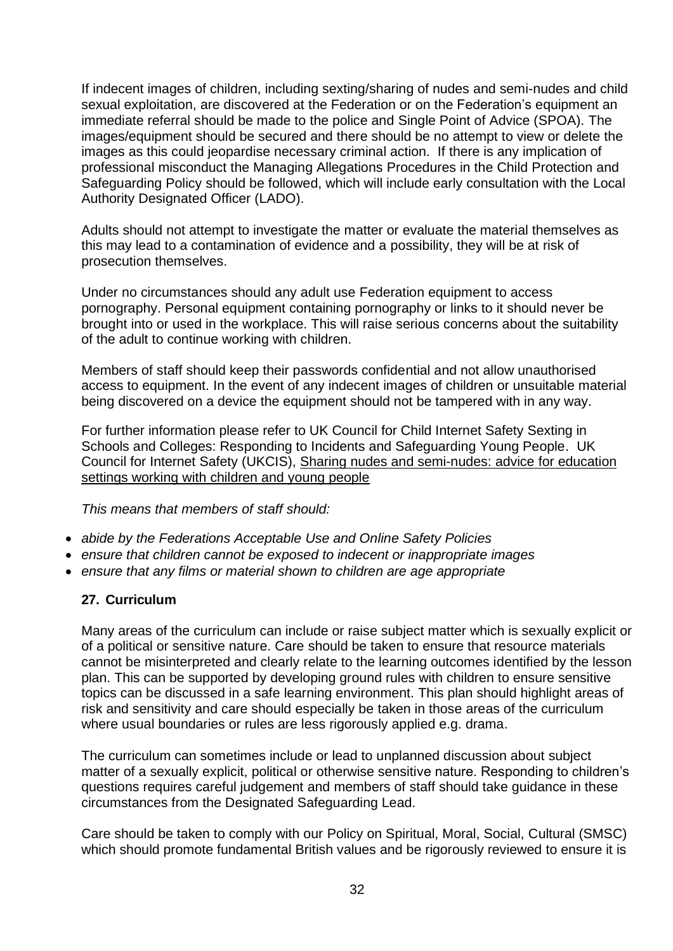If indecent images of children, including sexting/sharing of nudes and semi-nudes and child sexual exploitation, are discovered at the Federation or on the Federation's equipment an immediate referral should be made to the police and Single Point of Advice (SPOA). The images/equipment should be secured and there should be no attempt to view or delete the images as this could jeopardise necessary criminal action. If there is any implication of professional misconduct the Managing Allegations Procedures in the Child Protection and Safeguarding Policy should be followed, which will include early consultation with the Local Authority Designated Officer (LADO).

Adults should not attempt to investigate the matter or evaluate the material themselves as this may lead to a contamination of evidence and a possibility, they will be at risk of prosecution themselves.

Under no circumstances should any adult use Federation equipment to access pornography. Personal equipment containing pornography or links to it should never be brought into or used in the workplace. This will raise serious concerns about the suitability of the adult to continue working with children.

Members of staff should keep their passwords confidential and not allow unauthorised access to equipment. In the event of any indecent images of children or unsuitable material being discovered on a device the equipment should not be tampered with in any way.

For further information please refer to UK Council for Child Internet Safety Sexting in Schools and Colleges: Responding to Incidents and Safeguarding Young People. UK Council for Internet Safety (UKCIS), Sharing nudes and [semi-nudes:](https://www.gov.uk/government/publications/sharing-nudes-and-semi-nudes-advice-for-education-settings-working-with-children-and-young-people) advice for education settings working with [children](https://www.gov.uk/government/publications/sharing-nudes-and-semi-nudes-advice-for-education-settings-working-with-children-and-young-people) and young people

*This means that members of staff should:*

- *abide by the Federations Acceptable Use and Online Safety Policies*
- *ensure that children cannot be exposed to indecent or inappropriate images*
- *ensure that any films or material shown to children are age appropriate*

#### **27. Curriculum**

Many areas of the curriculum can include or raise subject matter which is sexually explicit or of a political or sensitive nature. Care should be taken to ensure that resource materials cannot be misinterpreted and clearly relate to the learning outcomes identified by the lesson plan. This can be supported by developing ground rules with children to ensure sensitive topics can be discussed in a safe learning environment. This plan should highlight areas of risk and sensitivity and care should especially be taken in those areas of the curriculum where usual boundaries or rules are less rigorously applied e.g. drama.

The curriculum can sometimes include or lead to unplanned discussion about subject matter of a sexually explicit, political or otherwise sensitive nature. Responding to children's questions requires careful judgement and members of staff should take guidance in these circumstances from the Designated Safeguarding Lead.

Care should be taken to comply with our Policy on Spiritual, Moral, Social, Cultural (SMSC) which should promote fundamental British values and be rigorously reviewed to ensure it is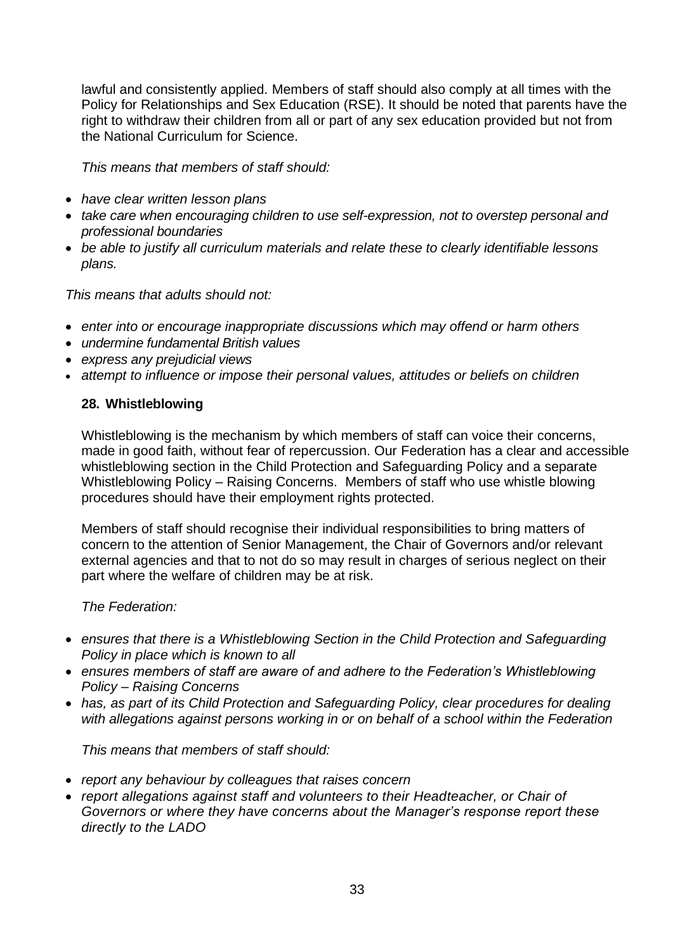lawful and consistently applied. Members of staff should also comply at all times with the Policy for Relationships and Sex Education (RSE). It should be noted that parents have the right to withdraw their children from all or part of any sex education provided but not from the National Curriculum for Science.

*This means that members of staff should:*

- *have clear written lesson plans*
- *take care when encouraging children to use self-expression, not to overstep personal and professional boundaries*
- *be able to justify all curriculum materials and relate these to clearly identifiable lessons plans.*

*This means that adults should not:*

- *enter into or encourage inappropriate discussions which may offend or harm others*
- *undermine fundamental British values*
- *express any prejudicial views*
- *attempt to influence or impose their personal values, attitudes or beliefs on children*

#### **28. Whistleblowing**

Whistleblowing is the mechanism by which members of staff can voice their concerns, made in good faith, without fear of repercussion. Our Federation has a clear and accessible whistleblowing section in the Child Protection and Safeguarding Policy and a separate Whistleblowing Policy – Raising Concerns. Members of staff who use whistle blowing procedures should have their employment rights protected.

Members of staff should recognise their individual responsibilities to bring matters of concern to the attention of Senior Management, the Chair of Governors and/or relevant external agencies and that to not do so may result in charges of serious neglect on their part where the welfare of children may be at risk.

*The Federation:*

- *ensures that there is a Whistleblowing Section in the Child Protection and Safeguarding Policy in place which is known to all*
- *ensures members of staff are aware of and adhere to the Federation's Whistleblowing Policy – Raising Concerns*
- has, as part of its Child Protection and Safeguarding Policy, clear procedures for dealing *with allegations against persons working in or on behalf of a school within the Federation*

*This means that members of staff should:*

- *report any behaviour by colleagues that raises concern*
- *report allegations against staff and volunteers to their Headteacher, or Chair of Governors or where they have concerns about the Manager's response report these directly to the LADO*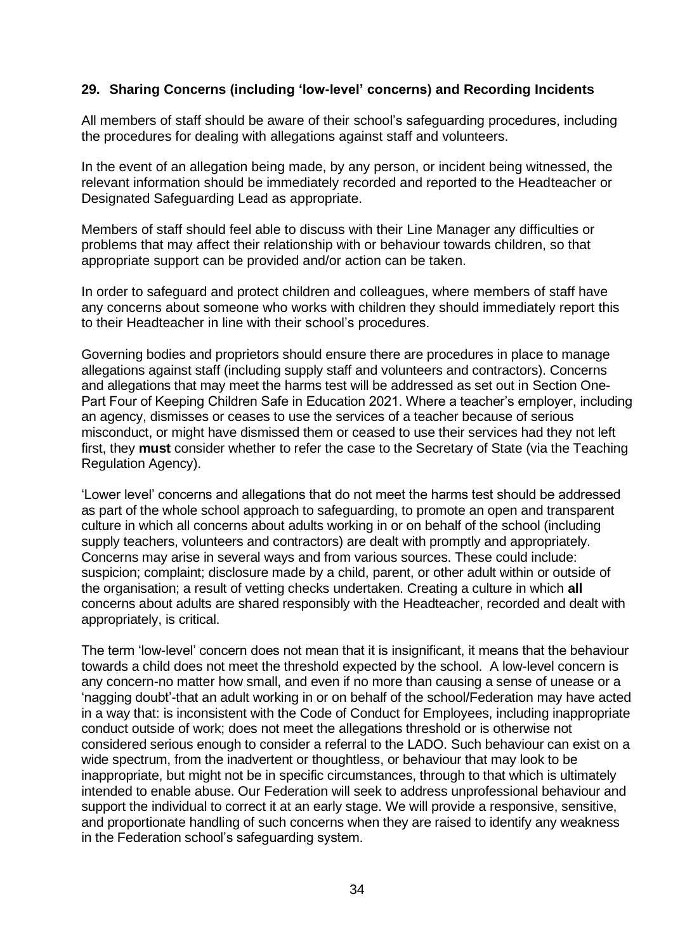#### **29. Sharing Concerns (including 'low-level' concerns) and Recording Incidents**

All members of staff should be aware of their school's safeguarding procedures, including the procedures for dealing with allegations against staff and volunteers.

In the event of an allegation being made, by any person, or incident being witnessed, the relevant information should be immediately recorded and reported to the Headteacher or Designated Safeguarding Lead as appropriate.

Members of staff should feel able to discuss with their Line Manager any difficulties or problems that may affect their relationship with or behaviour towards children, so that appropriate support can be provided and/or action can be taken.

In order to safeguard and protect children and colleagues, where members of staff have any concerns about someone who works with children they should immediately report this to their Headteacher in line with their school's procedures.

Governing bodies and proprietors should ensure there are procedures in place to manage allegations against staff (including supply staff and volunteers and contractors). Concerns and allegations that may meet the harms test will be addressed as set out in Section One-Part Four of Keeping Children Safe in Education 2021. Where a teacher's employer, including an agency, dismisses or ceases to use the services of a teacher because of serious misconduct, or might have dismissed them or ceased to use their services had they not left first, they **must** consider whether to refer the case to the Secretary of State (via the Teaching Regulation Agency).

'Lower level' concerns and allegations that do not meet the harms test should be addressed as part of the whole school approach to safeguarding, to promote an open and transparent culture in which all concerns about adults working in or on behalf of the school (including supply teachers, volunteers and contractors) are dealt with promptly and appropriately. Concerns may arise in several ways and from various sources. These could include: suspicion; complaint; disclosure made by a child, parent, or other adult within or outside of the organisation; a result of vetting checks undertaken. Creating a culture in which **all**  concerns about adults are shared responsibly with the Headteacher, recorded and dealt with appropriately, is critical.

The term 'low-level' concern does not mean that it is insignificant, it means that the behaviour towards a child does not meet the threshold expected by the school. A low-level concern is any concern-no matter how small, and even if no more than causing a sense of unease or a 'nagging doubt'-that an adult working in or on behalf of the school/Federation may have acted in a way that: is inconsistent with the Code of Conduct for Employees, including inappropriate conduct outside of work; does not meet the allegations threshold or is otherwise not considered serious enough to consider a referral to the LADO. Such behaviour can exist on a wide spectrum, from the inadvertent or thoughtless, or behaviour that may look to be inappropriate, but might not be in specific circumstances, through to that which is ultimately intended to enable abuse. Our Federation will seek to address unprofessional behaviour and support the individual to correct it at an early stage. We will provide a responsive, sensitive, and proportionate handling of such concerns when they are raised to identify any weakness in the Federation school's safeguarding system.